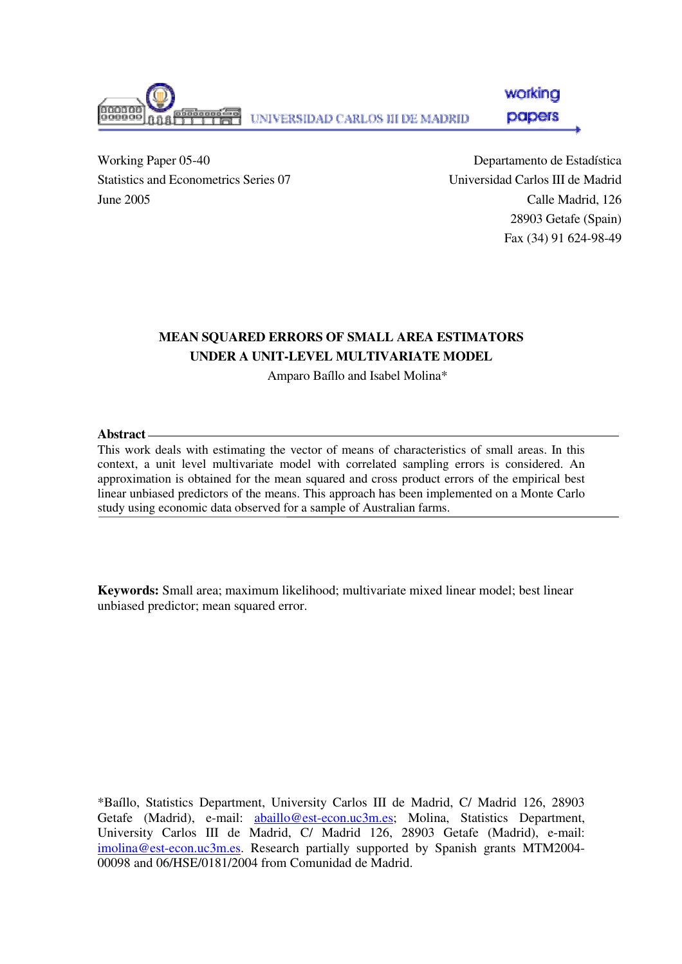

working papers

Working Paper 05-40 Statistics and Econometrics Series 07 June 2005

Departamento de Estadística Universidad Carlos III de Madrid Calle Madrid, 126 28903 Getafe (Spain) Fax (34) 91 624-98-49

#### **MEAN SQUARED ERRORS OF SMALL AREA ESTIMATORS UNDER A UNIT-LEVEL MULTIVARIATE MODEL**

Amparo Baíllo and Isabel Molina\*

#### **Abstract**

This work deals with estimating the vector of means of characteristics of small areas. In this context, a unit level multivariate model with correlated sampling errors is considered. An approximation is obtained for the mean squared and cross product errors of the empirical best linear unbiased predictors of the means. This approach has been implemented on a Monte Carlo study using economic data observed for a sample of Australian farms.

**Keywords:** Small area; maximum likelihood; multivariate mixed linear model; best linear unbiased predictor; mean squared error.

\*Baíllo, Statistics Department, University Carlos III de Madrid, C/ Madrid 126, 28903 Getafe (Madrid), e-mail: abaillo@est-econ.uc3m.es; Molina, Statistics Department, University Carlos III de Madrid, C/ Madrid 126, 28903 Getafe (Madrid), e-mail: imolina@est-econ.uc3m.es. Research partially supported by Spanish grants MTM2004- 00098 and 06/HSE/0181/2004 from Comunidad de Madrid.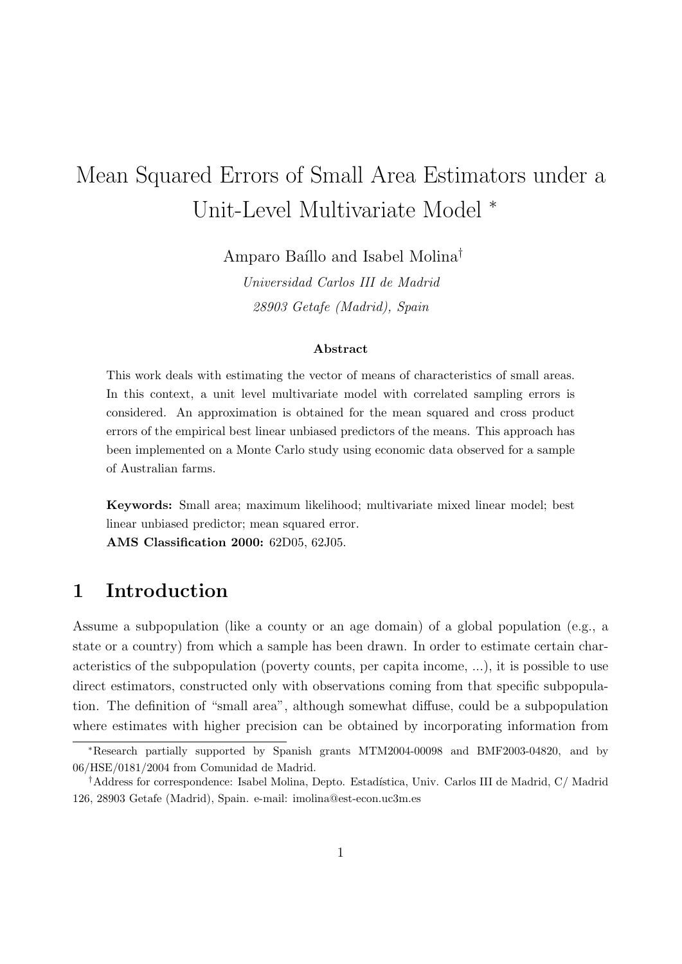# Mean Squared Errors of Small Area Estimators under a Unit-Level Multivariate Model <sup>∗</sup>

Amparo Baíllo and Isabel Molina<sup>†</sup>

Universidad Carlos III de Madrid 28903 Getafe (Madrid), Spain

#### Abstract

This work deals with estimating the vector of means of characteristics of small areas. In this context, a unit level multivariate model with correlated sampling errors is considered. An approximation is obtained for the mean squared and cross product errors of the empirical best linear unbiased predictors of the means. This approach has been implemented on a Monte Carlo study using economic data observed for a sample of Australian farms.

Keywords: Small area; maximum likelihood; multivariate mixed linear model; best linear unbiased predictor; mean squared error. AMS Classification 2000: 62D05, 62J05.

### 1 Introduction

Assume a subpopulation (like a county or an age domain) of a global population (e.g., a state or a country) from which a sample has been drawn. In order to estimate certain characteristics of the subpopulation (poverty counts, per capita income, ...), it is possible to use direct estimators, constructed only with observations coming from that specific subpopulation. The definition of "small area", although somewhat diffuse, could be a subpopulation where estimates with higher precision can be obtained by incorporating information from

<sup>∗</sup>Research partially supported by Spanish grants MTM2004-00098 and BMF2003-04820, and by 06/HSE/0181/2004 from Comunidad de Madrid.

<sup>&</sup>lt;sup>†</sup>Address for correspondence: Isabel Molina, Depto. Estadística, Univ. Carlos III de Madrid, C/ Madrid 126, 28903 Getafe (Madrid), Spain. e-mail: imolina@est-econ.uc3m.es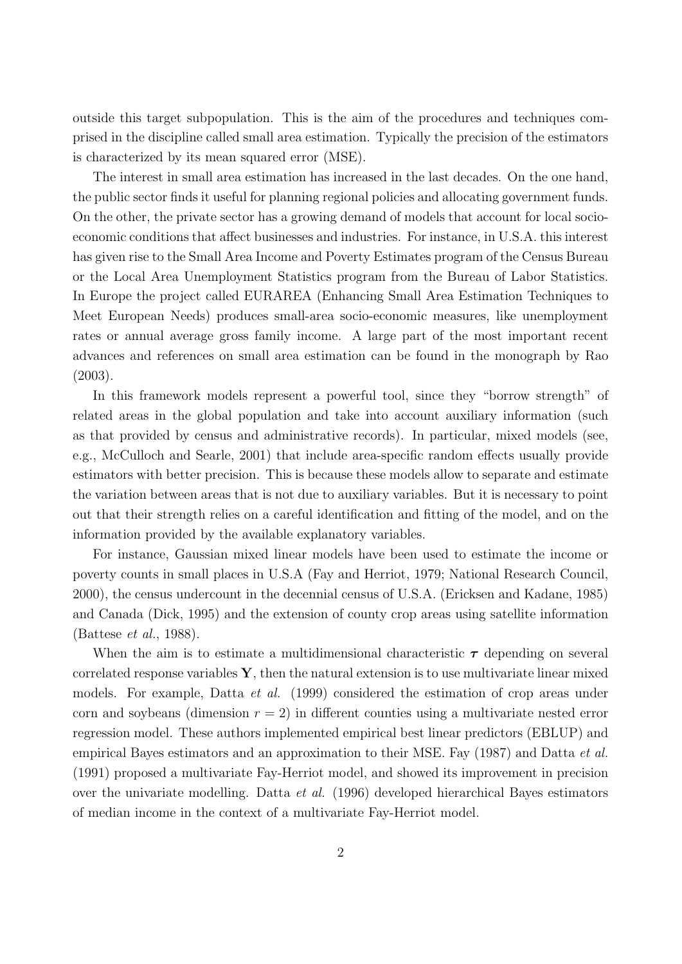outside this target subpopulation. This is the aim of the procedures and techniques comprised in the discipline called small area estimation. Typically the precision of the estimators is characterized by its mean squared error (MSE).

The interest in small area estimation has increased in the last decades. On the one hand, the public sector finds it useful for planning regional policies and allocating government funds. On the other, the private sector has a growing demand of models that account for local socioeconomic conditions that affect businesses and industries. For instance, in U.S.A. this interest has given rise to the Small Area Income and Poverty Estimates program of the Census Bureau or the Local Area Unemployment Statistics program from the Bureau of Labor Statistics. In Europe the project called EURAREA (Enhancing Small Area Estimation Techniques to Meet European Needs) produces small-area socio-economic measures, like unemployment rates or annual average gross family income. A large part of the most important recent advances and references on small area estimation can be found in the monograph by Rao (2003).

In this framework models represent a powerful tool, since they "borrow strength" of related areas in the global population and take into account auxiliary information (such as that provided by census and administrative records). In particular, mixed models (see, e.g., McCulloch and Searle, 2001) that include area-specific random effects usually provide estimators with better precision. This is because these models allow to separate and estimate the variation between areas that is not due to auxiliary variables. But it is necessary to point out that their strength relies on a careful identification and fitting of the model, and on the information provided by the available explanatory variables.

For instance, Gaussian mixed linear models have been used to estimate the income or poverty counts in small places in U.S.A (Fay and Herriot, 1979; National Research Council, 2000), the census undercount in the decennial census of U.S.A. (Ericksen and Kadane, 1985) and Canada (Dick, 1995) and the extension of county crop areas using satellite information (Battese et al., 1988).

When the aim is to estimate a multidimensional characteristic  $\tau$  depending on several correlated response variables  $\mathbf{Y}$ , then the natural extension is to use multivariate linear mixed models. For example, Datta *et al.* (1999) considered the estimation of crop areas under corn and soybeans (dimension  $r = 2$ ) in different counties using a multivariate nested error regression model. These authors implemented empirical best linear predictors (EBLUP) and empirical Bayes estimators and an approximation to their MSE. Fay (1987) and Datta *et al.* (1991) proposed a multivariate Fay-Herriot model, and showed its improvement in precision over the univariate modelling. Datta et al. (1996) developed hierarchical Bayes estimators of median income in the context of a multivariate Fay-Herriot model.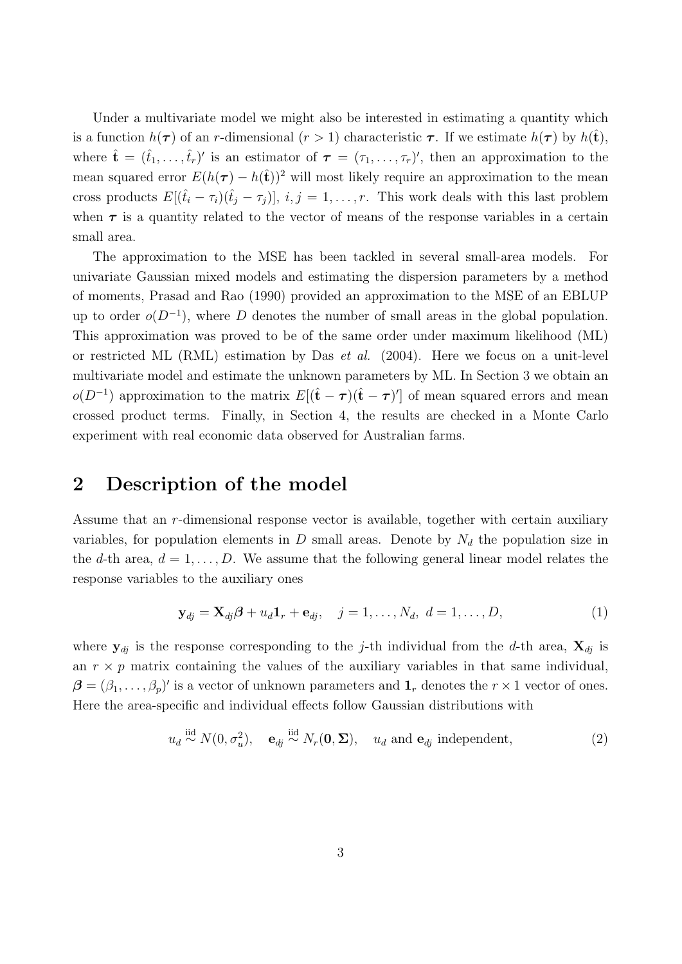Under a multivariate model we might also be interested in estimating a quantity which is a function  $h(\tau)$  of an r-dimensional  $(r > 1)$  characteristic  $\tau$ . If we estimate  $h(\tau)$  by  $h(\mathbf{t}),$ where  $\hat{\mathbf{t}} = (\hat{t}_1, \ldots, \hat{t}_r)'$  is an estimator of  $\boldsymbol{\tau} = (\tau_1, \ldots, \tau_r)'$ , then an approximation to the mean squared error  $E(h(\tau) - h(\hat{t}))^2$  will most likely require an approximation to the mean cross products  $E[(\hat{t}_i - \tau_i)(\hat{t}_j - \tau_j)], i, j = 1, \ldots, r$ . This work deals with this last problem when  $\tau$  is a quantity related to the vector of means of the response variables in a certain small area.

The approximation to the MSE has been tackled in several small-area models. For univariate Gaussian mixed models and estimating the dispersion parameters by a method of moments, Prasad and Rao (1990) provided an approximation to the MSE of an EBLUP up to order  $o(D^{-1})$ , where D denotes the number of small areas in the global population. This approximation was proved to be of the same order under maximum likelihood (ML) or restricted ML (RML) estimation by Das *et al.* (2004). Here we focus on a unit-level multivariate model and estimate the unknown parameters by ML. In Section 3 we obtain an  $o(D^{-1})$  approximation to the matrix  $E[(\hat{\mathbf{t}} - \boldsymbol{\tau})(\hat{\mathbf{t}} - \boldsymbol{\tau})']$  of mean squared errors and mean crossed product terms. Finally, in Section 4, the results are checked in a Monte Carlo experiment with real economic data observed for Australian farms.

#### 2 Description of the model

Assume that an r-dimensional response vector is available, together with certain auxiliary variables, for population elements in D small areas. Denote by  $N_d$  the population size in the d-th area,  $d = 1, \ldots, D$ . We assume that the following general linear model relates the response variables to the auxiliary ones

$$
\mathbf{y}_{dj} = \mathbf{X}_{dj}\boldsymbol{\beta} + u_d\mathbf{1}_r + \mathbf{e}_{dj}, \quad j = 1, \dots, N_d, \ d = 1, \dots, D,
$$
 (1)

where  $y_{dj}$  is the response corresponding to the j-th individual from the d-th area,  $X_{dj}$  is an  $r \times p$  matrix containing the values of the auxiliary variables in that same individual,  $\boldsymbol{\beta} = (\beta_1, \ldots, \beta_p)'$  is a vector of unknown parameters and  $\boldsymbol{1}_r$  denotes the  $r \times 1$  vector of ones. Here the area-specific and individual effects follow Gaussian distributions with

$$
u_d \stackrel{\text{iid}}{\sim} N(0, \sigma_u^2), \quad \mathbf{e}_{dj} \stackrel{\text{iid}}{\sim} N_r(\mathbf{0}, \mathbf{\Sigma}), \quad u_d \text{ and } \mathbf{e}_{dj} \text{ independent}, \tag{2}
$$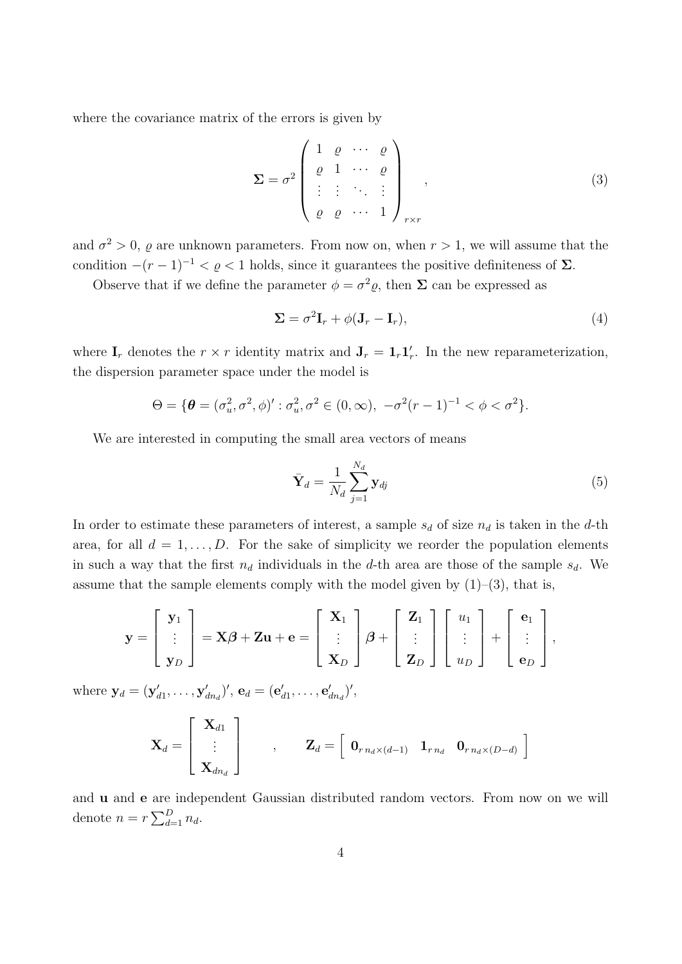where the covariance matrix of the errors is given by

$$
\Sigma = \sigma^2 \begin{pmatrix} 1 & \varrho & \cdots & \varrho \\ \varrho & 1 & \cdots & \varrho \\ \vdots & \vdots & \ddots & \vdots \\ \varrho & \varrho & \cdots & 1 \end{pmatrix}_{r \times r},
$$
 (3)

and  $\sigma^2 > 0$ ,  $\rho$  are unknown parameters. From now on, when  $r > 1$ , we will assume that the condition  $-(r-1)^{-1} < \varrho < 1$  holds, since it guarantees the positive definiteness of  $\Sigma$ .

Observe that if we define the parameter  $\phi = \sigma^2 \varrho$ , then  $\Sigma$  can be expressed as

$$
\Sigma = \sigma^2 \mathbf{I}_r + \phi(\mathbf{J}_r - \mathbf{I}_r),\tag{4}
$$

where  $\mathbf{I}_r$  denotes the  $r \times r$  identity matrix and  $\mathbf{J}_r = \mathbf{1}_r \mathbf{1}'_r$ . In the new reparameterization, the dispersion parameter space under the model is

$$
\Theta = \{ \boldsymbol{\theta} = (\sigma_u^2, \sigma^2, \phi)' : \sigma_u^2, \sigma^2 \in (0, \infty), -\sigma^2 (r-1)^{-1} < \phi < \sigma^2 \}.
$$

We are interested in computing the small area vectors of means

$$
\bar{\mathbf{Y}}_d = \frac{1}{N_d} \sum_{j=1}^{N_d} \mathbf{y}_{dj} \tag{5}
$$

In order to estimate these parameters of interest, a sample  $s_d$  of size  $n_d$  is taken in the d-th area, for all  $d = 1, \ldots, D$ . For the sake of simplicity we reorder the population elements in such a way that the first  $n_d$  individuals in the d-th area are those of the sample  $s_d$ . We assume that the sample elements comply with the model given by  $(1)-(3)$ , that is,

$$
\mathbf{y} = \begin{bmatrix} \mathbf{y}_1 \\ \vdots \\ \mathbf{y}_D \end{bmatrix} = \mathbf{X}\boldsymbol{\beta} + \mathbf{Z}\mathbf{u} + \mathbf{e} = \begin{bmatrix} \mathbf{X}_1 \\ \vdots \\ \mathbf{X}_D \end{bmatrix} \boldsymbol{\beta} + \begin{bmatrix} \mathbf{Z}_1 \\ \vdots \\ \mathbf{Z}_D \end{bmatrix} \begin{bmatrix} u_1 \\ \vdots \\ u_D \end{bmatrix} + \begin{bmatrix} \mathbf{e}_1 \\ \vdots \\ \mathbf{e}_D \end{bmatrix},
$$

where  $y_d = (\mathbf{y}'_{d1}, \dots, \mathbf{y}'_{dn_d})'$ ,  $\mathbf{e}_d = (\mathbf{e}'_{d1}, \dots, \mathbf{e}'_{dn_d})'$ ,

$$
\mathbf{X}_d = \begin{bmatrix} \mathbf{X}_{d1} \\ \vdots \\ \mathbf{X}_{dn_d} \end{bmatrix} , \quad \mathbf{Z}_d = \begin{bmatrix} \mathbf{0}_{r n_d \times (d-1)} & \mathbf{1}_{r n_d} & \mathbf{0}_{r n_d \times (D-d)} \end{bmatrix}
$$

and u and e are independent Gaussian distributed random vectors. From now on we will denote  $n = r \sum_{d=1}^{D} n_d$ .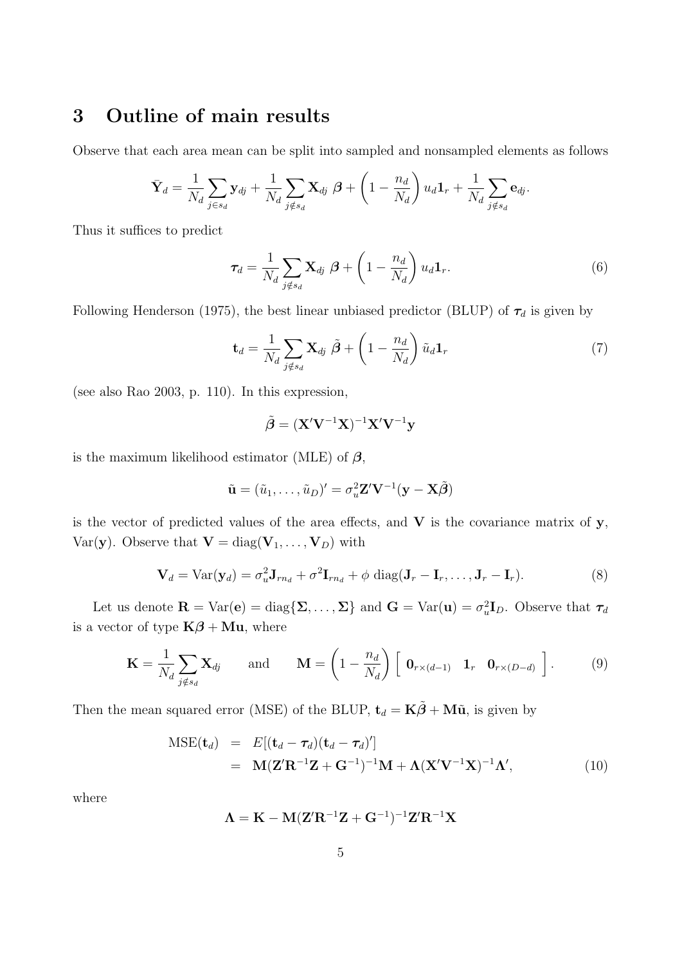### 3 Outline of main results

Observe that each area mean can be split into sampled and nonsampled elements as follows

$$
\bar{\mathbf{Y}}_d = \frac{1}{N_d} \sum_{j \in s_d} \mathbf{y}_{dj} + \frac{1}{N_d} \sum_{j \notin s_d} \mathbf{X}_{dj} \boldsymbol{\beta} + \left(1 - \frac{n_d}{N_d}\right) u_d \mathbf{1}_r + \frac{1}{N_d} \sum_{j \notin s_d} \mathbf{e}_{dj}.
$$

Thus it suffices to predict

$$
\boldsymbol{\tau}_d = \frac{1}{N_d} \sum_{j \notin s_d} \mathbf{X}_{dj} \boldsymbol{\beta} + \left(1 - \frac{n_d}{N_d}\right) u_d \mathbf{1}_r. \tag{6}
$$

Following Henderson (1975), the best linear unbiased predictor (BLUP) of  $\tau_d$  is given by

$$
\mathbf{t}_d = \frac{1}{N_d} \sum_{j \notin s_d} \mathbf{X}_{dj} \; \tilde{\boldsymbol{\beta}} + \left(1 - \frac{n_d}{N_d}\right) \tilde{u}_d \mathbf{1}_r \tag{7}
$$

(see also Rao 2003, p. 110). In this expression,

$$
\tilde{\boldsymbol{\beta}} = (\mathbf{X}'\mathbf{V}^{-1}\mathbf{X})^{-1}\mathbf{X}'\mathbf{V}^{-1}\mathbf{y}
$$

is the maximum likelihood estimator (MLE) of  $\beta$ ,

$$
\tilde{\mathbf{u}} = (\tilde{u}_1, \dots, \tilde{u}_D)' = \sigma_u^2 \mathbf{Z}' \mathbf{V}^{-1} (\mathbf{y} - \mathbf{X}\tilde{\boldsymbol{\beta}})
$$

is the vector of predicted values of the area effects, and  $V$  is the covariance matrix of  $y$ , Var(y). Observe that  $\mathbf{V} = \text{diag}(\mathbf{V}_1, \dots, \mathbf{V}_D)$  with

$$
\mathbf{V}_d = \text{Var}(\mathbf{y}_d) = \sigma_u^2 \mathbf{J}_{rn_d} + \sigma^2 \mathbf{I}_{rn_d} + \phi \text{ diag}(\mathbf{J}_r - \mathbf{I}_r, \dots, \mathbf{J}_r - \mathbf{I}_r).
$$
(8)

Let us denote  $\mathbf{R} = \text{Var}(\mathbf{e}) = \text{diag}\{\Sigma, \dots, \Sigma\}$  and  $\mathbf{G} = \text{Var}(\mathbf{u}) = \sigma_u^2 \mathbf{I}_D$ . Observe that  $\boldsymbol{\tau}_d$ is a vector of type  $K\beta + Mu$ , where

$$
\mathbf{K} = \frac{1}{N_d} \sum_{j \notin s_d} \mathbf{X}_{dj} \quad \text{and} \quad \mathbf{M} = \left(1 - \frac{n_d}{N_d}\right) \left[\begin{array}{cc} \mathbf{0}_{r \times (d-1)} & \mathbf{1}_r & \mathbf{0}_{r \times (D-d)} \end{array}\right]. \tag{9}
$$

Then the mean squared error (MSE) of the BLUP,  $\mathbf{t}_d = \mathbf{K}\tilde{\boldsymbol{\beta}} + \mathbf{M}\tilde{\mathbf{u}}$ , is given by

$$
\begin{aligned} \text{MSE}(\mathbf{t}_d) &= E[(\mathbf{t}_d - \boldsymbol{\tau}_d)(\mathbf{t}_d - \boldsymbol{\tau}_d)'] \\ &= \mathbf{M}(\mathbf{Z}'\mathbf{R}^{-1}\mathbf{Z} + \mathbf{G}^{-1})^{-1}\mathbf{M} + \mathbf{\Lambda}(\mathbf{X}'\mathbf{V}^{-1}\mathbf{X})^{-1}\mathbf{\Lambda}', \end{aligned} \tag{10}
$$

where

$$
\mathbf{\Lambda}=\mathbf{K}-\mathbf{M}(\mathbf{Z}'\mathbf{R}^{-1}\mathbf{Z}+\mathbf{G}^{-1})^{-1}\mathbf{Z}'\mathbf{R}^{-1}\mathbf{X}
$$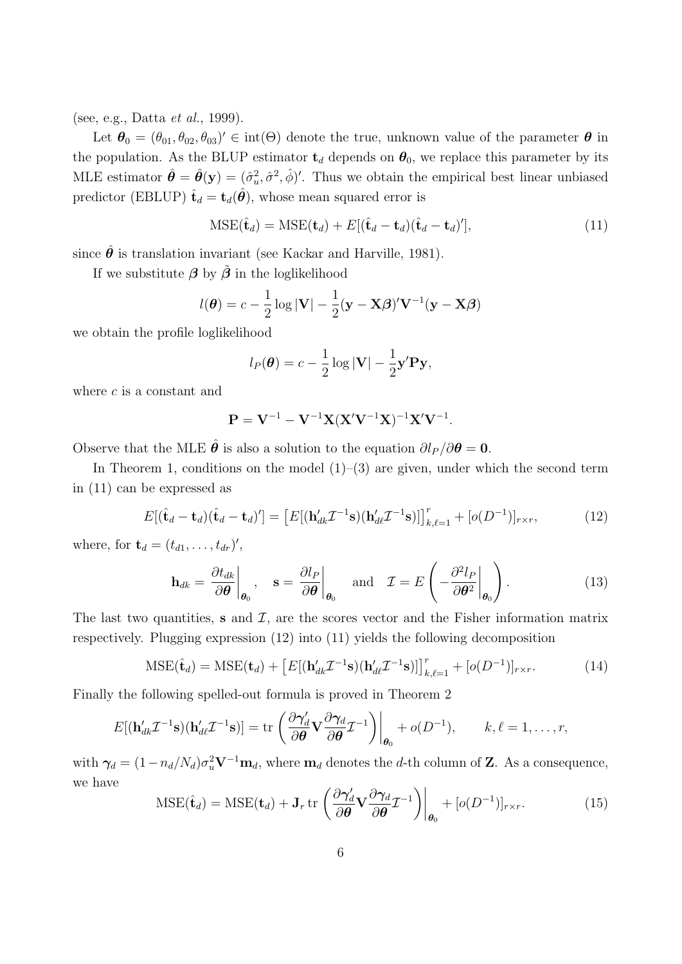(see, e.g., Datta et al., 1999).

Let  $\theta_0 = (\theta_{01}, \theta_{02}, \theta_{03})' \in \text{int}(\Theta)$  denote the true, unknown value of the parameter  $\theta$  in the population. As the BLUP estimator  $t_d$  depends on  $\theta_0$ , we replace this parameter by its MLE estimator  $\hat{\theta} = \hat{\theta}(y) = (\hat{\sigma}_u^2, \hat{\sigma}^2, \hat{\phi})'$ . Thus we obtain the empirical best linear unbiased predictor (EBLUP)  $\hat{\mathbf{t}}_d = \mathbf{t}_d(\hat{\theta})$ , whose mean squared error is

$$
\text{MSE}(\hat{\mathbf{t}}_d) = \text{MSE}(\mathbf{t}_d) + E[(\hat{\mathbf{t}}_d - \mathbf{t}_d)(\hat{\mathbf{t}}_d - \mathbf{t}_d)'],\tag{11}
$$

since  $\hat{\theta}$  is translation invariant (see Kackar and Harville, 1981).

If we substitute  $\beta$  by  $\tilde{\beta}$  in the loglikelihood

$$
l(\boldsymbol{\theta}) = c - \frac{1}{2} \log |\mathbf{V}| - \frac{1}{2} (\mathbf{y} - \mathbf{X}\boldsymbol{\beta})' \mathbf{V}^{-1} (\mathbf{y} - \mathbf{X}\boldsymbol{\beta})
$$

we obtain the profile loglikelihood

$$
l_P(\boldsymbol{\theta}) = c - \frac{1}{2} \log |\mathbf{V}| - \frac{1}{2} \mathbf{y}' \mathbf{P} \mathbf{y},
$$

where  $c$  is a constant and

$$
P = V^{-1} - V^{-1}X(X'V^{-1}X)^{-1}X'V^{-1}.
$$

Observe that the MLE  $\hat{\theta}$  is also a solution to the equation  $\partial l_P / \partial \theta = 0$ .

In Theorem 1, conditions on the model  $(1)$ – $(3)$  are given, under which the second term in (11) can be expressed as

$$
E[(\hat{\mathbf{t}}_d - \mathbf{t}_d)(\hat{\mathbf{t}}_d - \mathbf{t}_d)'] = \left[E[(\mathbf{h}'_{dk}\mathcal{I}^{-1}\mathbf{s})(\mathbf{h}'_{d\ell}\mathcal{I}^{-1}\mathbf{s})]\right]_{k,\ell=1}^r + [o(D^{-1})]_{r \times r},\tag{12}
$$

where, for  $\mathbf{t}_d = (t_{d1}, \ldots, t_{dr})'$ ,

$$
\mathbf{h}_{dk} = \left. \frac{\partial t_{dk}}{\partial \boldsymbol{\theta}} \right|_{\boldsymbol{\theta}_0}, \quad \mathbf{s} = \left. \frac{\partial l_P}{\partial \boldsymbol{\theta}} \right|_{\boldsymbol{\theta}_0} \quad \text{and} \quad \mathcal{I} = E \left( -\frac{\partial^2 l_P}{\partial \boldsymbol{\theta}^2} \bigg|_{\boldsymbol{\theta}_0} \right). \tag{13}
$$

The last two quantities, s and  $\mathcal{I}$ , are the scores vector and the Fisher information matrix respectively. Plugging expression (12) into (11) yields the following decomposition

$$
\text{MSE}(\hat{\mathbf{t}}_d) = \text{MSE}(\mathbf{t}_d) + \left[ E[(\mathbf{h}_{dk}' \mathcal{I}^{-1} \mathbf{s})(\mathbf{h}_{dk}' \mathcal{I}^{-1} \mathbf{s})] \right]_{k,\ell=1}^r + [o(D^{-1})]_{r \times r}.
$$
 (14)

Finally the following spelled-out formula is proved in Theorem 2

$$
E[(\mathbf{h}_{dk}'\mathcal{I}^{-1}\mathbf{s})(\mathbf{h}_{dk}'\mathcal{I}^{-1}\mathbf{s})] = \text{tr}\left(\frac{\partial \gamma_d'}{\partial \boldsymbol{\theta}}\mathbf{V}\frac{\partial \gamma_d}{\partial \boldsymbol{\theta}}\mathcal{I}^{-1}\right)\bigg|_{\boldsymbol{\theta}_0} + o(D^{-1}), \qquad k, \ell = 1, \ldots, r,
$$

with  $\gamma_d = (1 - n_d/N_d)\sigma_u^2 \mathbf{V}^{-1}\mathbf{m}_d$ , where  $\mathbf{m}_d$  denotes the d-th column of **Z**. As a consequence, we have

$$
\text{MSE}(\hat{\mathbf{t}}_d) = \text{MSE}(\mathbf{t}_d) + \mathbf{J}_r \, \text{tr}\left(\frac{\partial \boldsymbol{\gamma}_d'}{\partial \boldsymbol{\theta}} \mathbf{V} \frac{\partial \boldsymbol{\gamma}_d}{\partial \boldsymbol{\theta}} \mathcal{I}^{-1}\right)\bigg|_{\boldsymbol{\theta}_0} + [o(D^{-1})]_{r \times r}.
$$
 (15)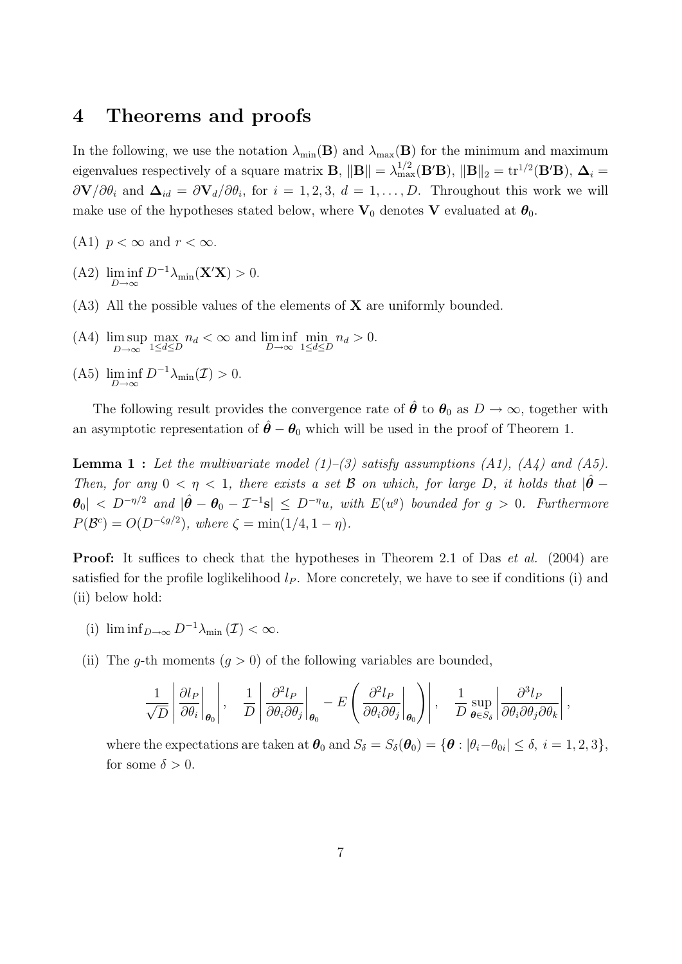#### 4 Theorems and proofs

In the following, we use the notation  $\lambda_{\min}(\mathbf{B})$  and  $\lambda_{\max}(\mathbf{B})$  for the minimum and maximum eigenvalues respectively of a square matrix **B**,  $\|\mathbf{B}\| = \lambda_{\max}^{1/2} (\mathbf{B}'\mathbf{B})$ ,  $\|\mathbf{B}\|_2 = \text{tr}^{1/2}(\mathbf{B}'\mathbf{B})$ ,  $\mathbf{\Delta}_i =$  $\partial \mathbf{V}/\partial \theta_i$  and  $\mathbf{\Delta}_{id} = \partial \mathbf{V}_d/\partial \theta_i$ , for  $i = 1, 2, 3, d = 1, ..., D$ . Throughout this work we will make use of the hypotheses stated below, where  $V_0$  denotes V evaluated at  $\theta_0$ .

- (A1)  $p < \infty$  and  $r < \infty$ .
- (A2)  $\liminf_{D \to \infty} D^{-1} \lambda_{\min}(\mathbf{X}'\mathbf{X}) > 0.$
- $(A3)$  All the possible values of the elements of **X** are uniformly bounded.
- (A4) lim sup  $D\rightarrow\infty$ max  $n_d < \infty$  and  $\liminf_{D \to \infty} \min_{1 \le d \le D} n_d > 0$ .
- (A5)  $\liminf_{D \to \infty} D^{-1} \lambda_{\min}(\mathcal{I}) > 0.$

The following result provides the convergence rate of  $\hat{\theta}$  to  $\theta_0$  as  $D \to \infty$ , together with an asymptotic representation of  $\hat{\theta} - \theta_0$  which will be used in the proof of Theorem 1.

**Lemma 1 :** Let the multivariate model  $(1)$ – $(3)$  satisfy assumptions  $(A1)$ ,  $(A4)$  and  $(A5)$ . Then, for any  $0 < \eta < 1$ , there exists a set B on which, for large D, it holds that  $|\hat{\theta} - \hat{\theta}|$  $|\boldsymbol{\theta}_0| < D^{-\eta/2}$  and  $|\hat{\boldsymbol{\theta}} - \boldsymbol{\theta}_0 - \mathcal{I}^{-1} \mathbf{s}| \le D^{-\eta} u$ , with  $E(u^g)$  bounded for  $g > 0$ . Furthermore  $P(\mathcal{B}^c) = O(D^{-\zeta g/2}),$  where  $\zeta = \min(1/4, 1 - \eta).$ 

**Proof:** It suffices to check that the hypotheses in Theorem 2.1 of Das *et al.* (2004) are satisfied for the profile loglikelihood  $l<sub>P</sub>$ . More concretely, we have to see if conditions (i) and (ii) below hold:

- (i)  $\liminf_{D\to\infty} D^{-1}\lambda_{\min}(\mathcal{I}) < \infty$ .
- (ii) The q-th moments  $(q > 0)$  of the following variables are bounded,

$$
\frac{1}{\sqrt{D}} \left| \frac{\partial l_P}{\partial \theta_i} \bigg|_{\theta_0} \right|, \quad \frac{1}{D} \left| \frac{\partial^2 l_P}{\partial \theta_i \partial \theta_j} \bigg|_{\theta_0} - E \left( \frac{\partial^2 l_P}{\partial \theta_i \partial \theta_j} \bigg|_{\theta_0} \right) \right|, \quad \frac{1}{D} \sup_{\theta \in S_{\delta}} \left| \frac{\partial^3 l_P}{\partial \theta_i \partial \theta_j \partial \theta_k} \right|,
$$

where the expectations are taken at  $\bm{\theta}_0$  and  $S_\delta = S_\delta(\bm{\theta}_0) = \{\bm{\theta}: |\theta_i - \theta_{0i}| \leq \delta, \ i = 1, 2, 3\},$ for some  $\delta > 0$ .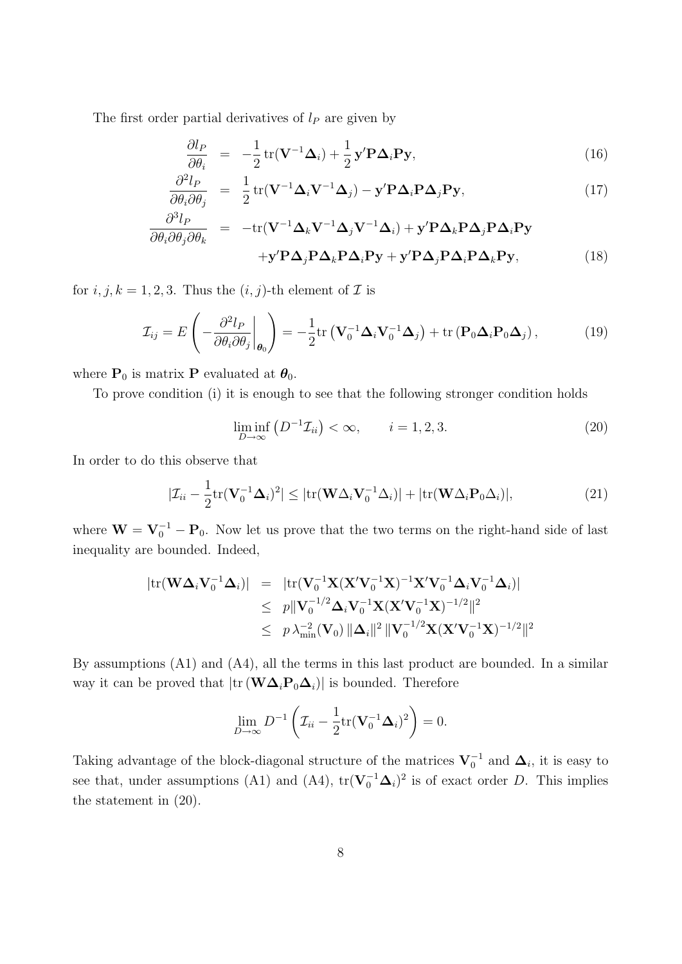The first order partial derivatives of  $l_P$  are given by

$$
\frac{\partial l_P}{\partial \theta_i} = -\frac{1}{2} tr(\mathbf{V}^{-1} \boldsymbol{\Delta}_i) + \frac{1}{2} \mathbf{y}' \mathbf{P} \boldsymbol{\Delta}_i \mathbf{P} \mathbf{y},
$$
\n(16)

$$
\frac{\partial^2 l_P}{\partial \theta_i \partial \theta_j} = \frac{1}{2} tr(\mathbf{V}^{-1} \boldsymbol{\Delta}_i \mathbf{V}^{-1} \boldsymbol{\Delta}_j) - \mathbf{y}' \mathbf{P} \boldsymbol{\Delta}_i \mathbf{P} \boldsymbol{\Delta}_j \mathbf{P} \mathbf{y}, \qquad (17)
$$

$$
\frac{\partial^3 l_P}{\partial \theta_i \partial \theta_j \partial \theta_k} = -\text{tr}(\mathbf{V}^{-1} \boldsymbol{\Delta}_k \mathbf{V}^{-1} \boldsymbol{\Delta}_j \mathbf{V}^{-1} \boldsymbol{\Delta}_i) + \mathbf{y}' \mathbf{P} \boldsymbol{\Delta}_k \mathbf{P} \boldsymbol{\Delta}_j \mathbf{P} \boldsymbol{\Delta}_i \mathbf{P} \mathbf{y} + \mathbf{y}' \mathbf{P} \boldsymbol{\Delta}_j \mathbf{P} \boldsymbol{\Delta}_k \mathbf{P} \boldsymbol{\Delta}_i \mathbf{P} \mathbf{y} + \mathbf{y}' \mathbf{P} \boldsymbol{\Delta}_j \mathbf{P} \boldsymbol{\Delta}_k \mathbf{P} \mathbf{y},
$$
(18)

for  $i, j, k = 1, 2, 3$ . Thus the  $(i, j)$ -th element of  $\mathcal I$  is

$$
\mathcal{I}_{ij} = E\left(-\frac{\partial^2 l_P}{\partial \theta_i \partial \theta_j}\bigg|_{\theta_0}\right) = -\frac{1}{2} \text{tr}\left(\mathbf{V}_0^{-1} \boldsymbol{\Delta}_i \mathbf{V}_0^{-1} \boldsymbol{\Delta}_j\right) + \text{tr}\left(\mathbf{P}_0 \boldsymbol{\Delta}_i \mathbf{P}_0 \boldsymbol{\Delta}_j\right),\tag{19}
$$

where  $\mathbf{P}_0$  is matrix  $\mathbf{P}$  evaluated at  $\pmb{\theta}_0.$ 

To prove condition (i) it is enough to see that the following stronger condition holds

$$
\liminf_{D \to \infty} \left( D^{-1} \mathcal{I}_{ii} \right) < \infty, \qquad i = 1, 2, 3. \tag{20}
$$

In order to do this observe that

$$
|\mathcal{I}_{ii} - \frac{1}{2} \text{tr}(\mathbf{V}_0^{-1} \boldsymbol{\Delta}_i)^2| \leq |\text{tr}(\mathbf{W} \Delta_i \mathbf{V}_0^{-1} \Delta_i)| + |\text{tr}(\mathbf{W} \Delta_i \mathbf{P}_0 \Delta_i)|, \tag{21}
$$

where  $\mathbf{W} = \mathbf{V}_0^{-1} - \mathbf{P}_0$ . Now let us prove that the two terms on the right-hand side of last inequality are bounded. Indeed,

$$
|\mathrm{tr}(\mathbf{W}\boldsymbol{\Delta}_{i}\mathbf{V}_{0}^{-1}\boldsymbol{\Delta}_{i})| = |\mathrm{tr}(\mathbf{V}_{0}^{-1}\mathbf{X}(\mathbf{X}'\mathbf{V}_{0}^{-1}\mathbf{X})^{-1}\mathbf{X}'\mathbf{V}_{0}^{-1}\boldsymbol{\Delta}_{i}\mathbf{V}_{0}^{-1}\boldsymbol{\Delta}_{i})|
$$
  
\n
$$
\leq p\|\mathbf{V}_{0}^{-1/2}\boldsymbol{\Delta}_{i}\mathbf{V}_{0}^{-1}\mathbf{X}(\mathbf{X}'\mathbf{V}_{0}^{-1}\mathbf{X})^{-1/2}\|^{2}
$$
  
\n
$$
\leq p\lambda_{\min}^{-2}(\mathbf{V}_{0})\|\boldsymbol{\Delta}_{i}\|^{2}\|\mathbf{V}_{0}^{-1/2}\mathbf{X}(\mathbf{X}'\mathbf{V}_{0}^{-1}\mathbf{X})^{-1/2}\|^{2}
$$

By assumptions (A1) and (A4), all the terms in this last product are bounded. In a similar way it can be proved that  $|\text{tr}(\mathbf{W}\boldsymbol{\Delta}_i\mathbf{P}_0\boldsymbol{\Delta}_i)|$  is bounded. Therefore

$$
\lim_{D\to\infty} D^{-1}\left(\mathcal{I}_{ii} - \frac{1}{2}\mathrm{tr}(\mathbf{V}_0^{-1}\boldsymbol{\Delta}_i)^2\right) = 0.
$$

Taking advantage of the block-diagonal structure of the matrices  $V_0^{-1}$  and  $\Delta_i$ , it is easy to see that, under assumptions (A1) and (A4),  $tr(\mathbf{V}_0^{-1}\boldsymbol{\Delta}_i)^2$  is of exact order D. This implies the statement in (20).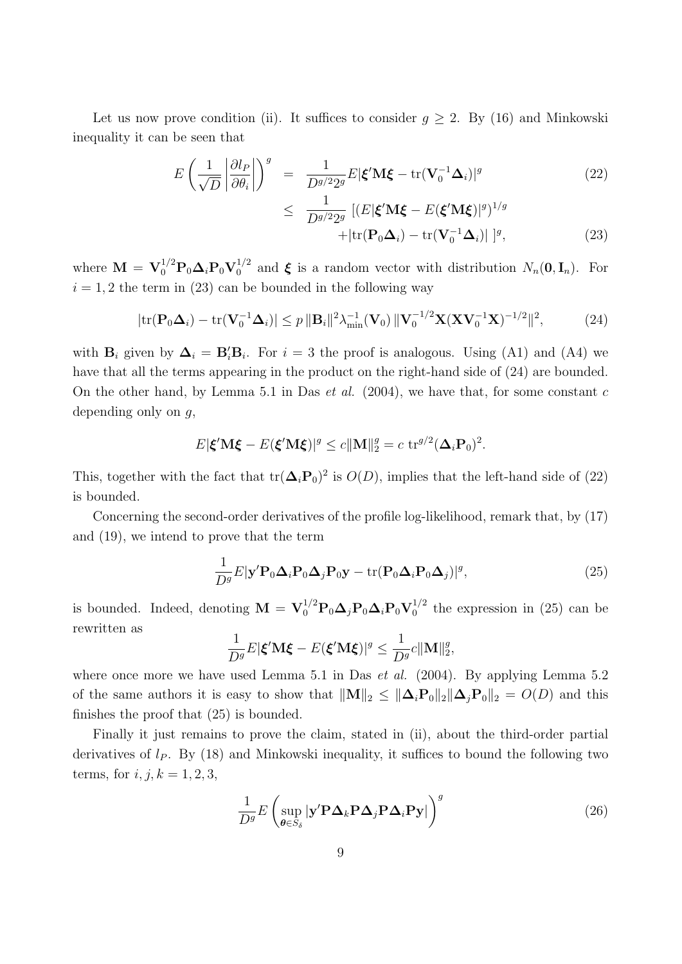Let us now prove condition (ii). It suffices to consider  $g \geq 2$ . By (16) and Minkowski inequality it can be seen that

$$
E\left(\frac{1}{\sqrt{D}}\left|\frac{\partial l_P}{\partial \theta_i}\right|\right)^g = \frac{1}{D^{g/2}2^g}E|\boldsymbol{\xi}'\mathbf{M}\boldsymbol{\xi} - \text{tr}(\mathbf{V}_0^{-1}\boldsymbol{\Delta}_i)|^g
$$
(22)

$$
\leq \frac{1}{D^{g/2}2^g} \left[ (E|\boldsymbol{\xi}'\mathbf{M}\boldsymbol{\xi} - E(\boldsymbol{\xi}'\mathbf{M}\boldsymbol{\xi})|^g)^{1/g} + |\text{tr}(\mathbf{P}_0\boldsymbol{\Delta}_i) - \text{tr}(\mathbf{V}_0^{-1}\boldsymbol{\Delta}_i)| \right]^g, \tag{23}
$$

where  $\mathbf{M} = \mathbf{V}_0^{1/2} \mathbf{P}_0 \boldsymbol{\Delta}_i \mathbf{P}_0 \mathbf{V}_0^{1/2}$  $N_n(0, I_n)$ . For  $N_n(0, I_n)$ . For  $i = 1, 2$  the term in (23) can be bounded in the following way

$$
|\mathrm{tr}(\mathbf{P}_0\boldsymbol{\Delta}_i) - \mathrm{tr}(\mathbf{V}_0^{-1}\boldsymbol{\Delta}_i)| \le p \|\mathbf{B}_i\|^2 \lambda_{\min}^{-1}(\mathbf{V}_0) \|\mathbf{V}_0^{-1/2}\mathbf{X}(\mathbf{X}\mathbf{V}_0^{-1}\mathbf{X})^{-1/2}\|^2, \tag{24}
$$

with  $\mathbf{B}_i$  given by  $\mathbf{\Delta}_i = \mathbf{B}_i' \mathbf{B}_i$ . For  $i = 3$  the proof is analogous. Using (A1) and (A4) we have that all the terms appearing in the product on the right-hand side of (24) are bounded. On the other hand, by Lemma 5.1 in Das *et al.* (2004), we have that, for some constant  $c$ depending only on  $g$ ,

$$
E|\boldsymbol{\xi}'\mathbf{M}\boldsymbol{\xi} - E(\boldsymbol{\xi}'\mathbf{M}\boldsymbol{\xi})|^g \le c \|\mathbf{M}\|_2^g = c \operatorname{tr}^{g/2}(\boldsymbol{\Delta}_i \mathbf{P}_0)^2.
$$

This, together with the fact that  $tr(\mathbf{\Delta}_i \mathbf{P}_0)^2$  is  $O(D)$ , implies that the left-hand side of (22) is bounded.

Concerning the second-order derivatives of the profile log-likelihood, remark that, by (17) and (19), we intend to prove that the term

$$
\frac{1}{D^g} E|\mathbf{y}' \mathbf{P}_0 \Delta_i \mathbf{P}_0 \Delta_j \mathbf{P}_0 \mathbf{y} - \text{tr}(\mathbf{P}_0 \Delta_i \mathbf{P}_0 \Delta_j)|^g, \tag{25}
$$

is bounded. Indeed, denoting  $\mathbf{M} = \mathbf{V}_0^{1/2} \mathbf{P}_0 \mathbf{\Delta}_j \mathbf{P}_0 \mathbf{\Delta}_i \mathbf{P}_0 \mathbf{V}_0^{1/2}$  $_0^{1/2}$  the expression in (25) can be rewritten as

$$
\frac{1}{D^g}E|\boldsymbol{\xi}'\mathbf{M}\boldsymbol{\xi}-E(\boldsymbol{\xi}'\mathbf{M}\boldsymbol{\xi})|^g\leq \frac{1}{D^g}c\|\mathbf{M}\|_2^g,
$$

where once more we have used Lemma 5.1 in Das *et al.*  $(2004)$ . By applying Lemma 5.2 of the same authors it is easy to show that  $||M||_2 \le ||\Delta_i P_0||_2 ||\Delta_j P_0||_2 = O(D)$  and this finishes the proof that (25) is bounded.

Finally it just remains to prove the claim, stated in (ii), about the third-order partial derivatives of  $l_P$ . By (18) and Minkowski inequality, it suffices to bound the following two terms, for  $i, j, k = 1, 2, 3$ ,

$$
\frac{1}{D^g} E \left( \sup_{\boldsymbol{\theta} \in S_{\delta}} |\mathbf{y}' \mathbf{P} \Delta_k \mathbf{P} \Delta_j \mathbf{P} \Delta_i \mathbf{P} \mathbf{y}| \right)^g
$$
\n(26)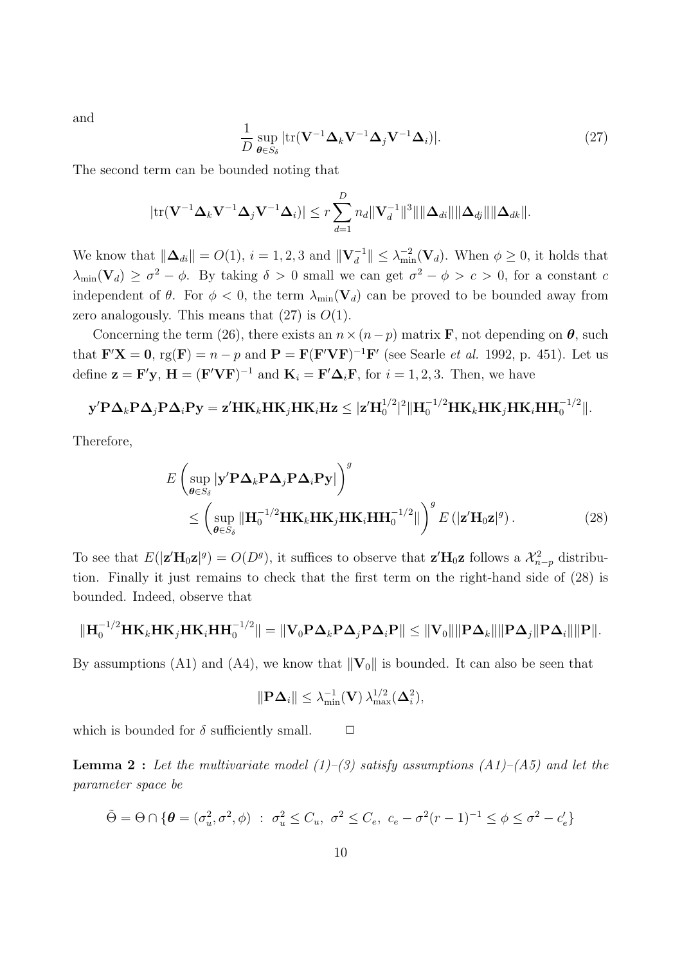and

$$
\frac{1}{D} \sup_{\boldsymbol{\theta} \in S_{\delta}} |\text{tr}(\mathbf{V}^{-1} \boldsymbol{\Delta}_k \mathbf{V}^{-1} \boldsymbol{\Delta}_j \mathbf{V}^{-1} \boldsymbol{\Delta}_i)|. \tag{27}
$$

The second term can be bounded noting that

$$
|\mathrm{tr}(\mathbf{V}^{-1}\boldsymbol{\Delta}_k\mathbf{V}^{-1}\boldsymbol{\Delta}_j\mathbf{V}^{-1}\boldsymbol{\Delta}_i)| \leq r \sum_{d=1}^D n_d \|\mathbf{V}_d^{-1}\|^3 \|\|\boldsymbol{\Delta}_{di}\|\|\boldsymbol{\Delta}_{dj}\|\|\boldsymbol{\Delta}_{dk}\|.
$$

We know that  $\|\mathbf{\Delta}_{di}\| = O(1)$ ,  $i = 1, 2, 3$  and  $\|\mathbf{V}_d^{-1}\| \leq \lambda_{\min}^{-2}(\mathbf{V}_d)$ . When  $\phi \geq 0$ , it holds that  $\lambda_{\min}(\mathbf{V}_d) \geq \sigma^2 - \phi$ . By taking  $\delta > 0$  small we can get  $\sigma^2 - \phi > c > 0$ , for a constant c independent of  $\theta$ . For  $\phi < 0$ , the term  $\lambda_{\min}(\mathbf{V}_d)$  can be proved to be bounded away from zero analogously. This means that  $(27)$  is  $O(1)$ .

Concerning the term (26), there exists an  $n \times (n-p)$  matrix **F**, not depending on  $\theta$ , such that  $\mathbf{F}'\mathbf{X} = \mathbf{0}$ ,  $\text{rg}(\mathbf{F}) = n - p$  and  $\mathbf{P} = \mathbf{F}(\mathbf{F}'\mathbf{V}\mathbf{F})^{-1}\mathbf{F}'$  (see Searle *et al.* 1992, p. 451). Let us define  $\mathbf{z} = \mathbf{F}'\mathbf{y}$ ,  $\mathbf{H} = (\mathbf{F}'\mathbf{V}\mathbf{F})^{-1}$  and  $\mathbf{K}_i = \mathbf{F}'\mathbf{\Delta}_i\mathbf{F}$ , for  $i = 1, 2, 3$ . Then, we have

$$
\mathbf{y}'\mathbf{P}\mathbf{\Delta}_k\mathbf{P}\mathbf{\Delta}_j\mathbf{P}\mathbf{\Delta}_i\mathbf{P}\mathbf{y} = \mathbf{z}'\mathbf{H}\mathbf{K}_k\mathbf{H}\mathbf{K}_j\mathbf{H}\mathbf{K}_i\mathbf{H}\mathbf{z} \leq |\mathbf{z}'\mathbf{H}_0^{1/2}|^2||\mathbf{H}_0^{-1/2}\mathbf{H}\mathbf{K}_k\mathbf{H}\mathbf{K}_j\mathbf{H}\mathbf{K}_i\mathbf{H}\mathbf{H}_0^{-1/2}||.
$$

Therefore,

$$
E\left(\sup_{\theta\in S_{\delta}}|\mathbf{y}'\mathbf{P}\Delta_{k}\mathbf{P}\Delta_{j}\mathbf{P}\Delta_{i}\mathbf{P}\mathbf{y}|\right)^{g}
$$
  

$$
\leq \left(\sup_{\theta\in S_{\delta}}\|\mathbf{H}_{0}^{-1/2}\mathbf{HK}_{k}\mathbf{HK}_{j}\mathbf{HK}_{i}\mathbf{HH}_{0}^{-1/2}\|\right)^{g}E\left(|\mathbf{z}'\mathbf{H}_{0}\mathbf{z}|^{g}\right).
$$
 (28)

To see that  $E(|\mathbf{z}'\mathbf{H}_0\mathbf{z}|^g) = O(D^g)$ , it suffices to observe that  $\mathbf{z}'\mathbf{H}_0\mathbf{z}$  follows a  $\mathcal{X}_{n-p}^2$  distribution. Finally it just remains to check that the first term on the right-hand side of (28) is bounded. Indeed, observe that

$$
\|\mathbf{H}_{0}^{-1/2}\mathbf{H}\mathbf{K}_{k}\mathbf{H}\mathbf{K}_{j}\mathbf{H}\mathbf{K}_{i}\mathbf{H}\mathbf{H}_{0}^{-1/2}\| = \|\mathbf{V}_{0}\mathbf{P}\mathbf{\Delta}_{k}\mathbf{P}\mathbf{\Delta}_{j}\mathbf{P}\mathbf{\Delta}_{i}\mathbf{P}\| \leq \|\mathbf{V}_{0}\|\|\mathbf{P}\mathbf{\Delta}_{k}\|\|\mathbf{P}\mathbf{\Delta}_{j}\|\mathbf{P}\mathbf{\Delta}_{i}\|\|\mathbf{P}\|.
$$

By assumptions (A1) and (A4), we know that  $\|\mathbf{V}_0\|$  is bounded. It can also be seen that

$$
\|\mathbf{P}\mathbf{\Delta}_i\| \leq \lambda_{\min}^{-1}(\mathbf{V})\,\lambda_{\max}^{1/2}(\mathbf{\Delta}_i^2),
$$

which is bounded for  $\delta$  sufficiently small.  $\Box$ 

**Lemma 2**: Let the multivariate model  $(1)$ – $(3)$  satisfy assumptions  $(A1)$ – $(A5)$  and let the parameter space be

$$
\tilde{\Theta} = \Theta \cap \{ \theta = (\sigma_u^2, \sigma^2, \phi) : \sigma_u^2 \le C_u, \ \sigma^2 \le C_e, \ c_e - \sigma^2 (r - 1)^{-1} \le \phi \le \sigma^2 - c'_e \}
$$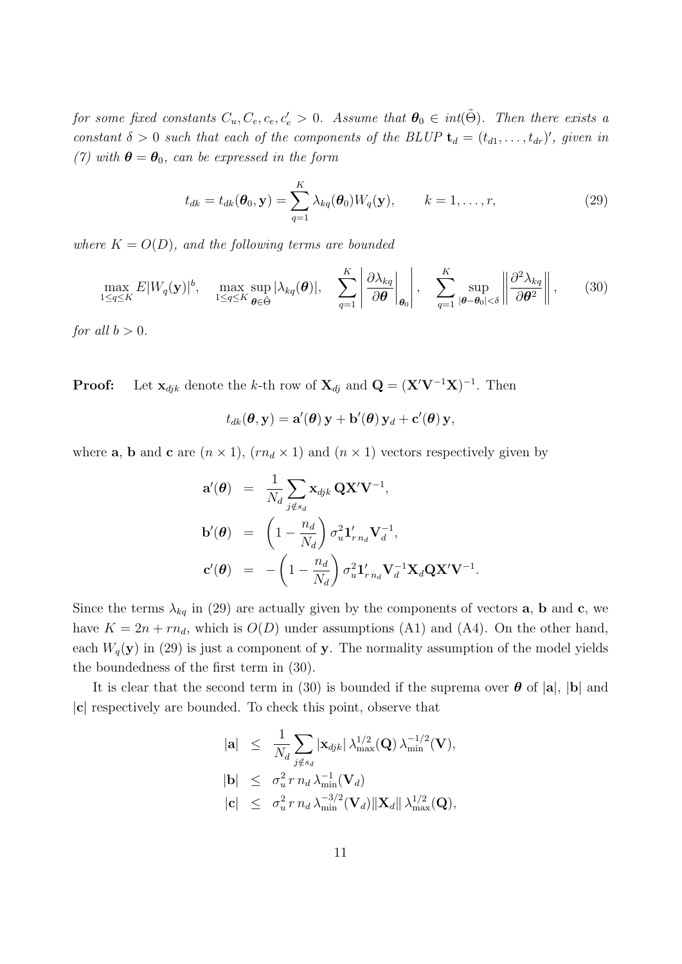for some fixed constants  $C_u, C_e, c_e, c_e' > 0$ . Assume that  $\boldsymbol{\theta}_0 \in \it int(\tilde{\Theta})$ . Then there exists a constant  $\delta > 0$  such that each of the components of the BLUP  $\mathbf{t}_d = (t_{d1}, \ldots, t_{dr})'$ , given in (7) with  $\boldsymbol{\theta} = \boldsymbol{\theta}_0$ , can be expressed in the form

$$
t_{dk} = t_{dk}(\boldsymbol{\theta}_0, \mathbf{y}) = \sum_{q=1}^K \lambda_{kq}(\boldsymbol{\theta}_0) W_q(\mathbf{y}), \qquad k = 1, \dots, r,
$$
\n(29)

where  $K = O(D)$ , and the following terms are bounded

$$
\max_{1 \leq q \leq K} E|W_q(\mathbf{y})|^b, \quad \max_{1 \leq q \leq K} \sup_{\boldsymbol{\theta} \in \tilde{\Theta}} |\lambda_{kq}(\boldsymbol{\theta})|, \quad \sum_{q=1}^K \left| \frac{\partial \lambda_{kq}}{\partial \boldsymbol{\theta}} \bigg|_{\boldsymbol{\theta}_0} \right|, \quad \sum_{q=1}^K \sup_{|\boldsymbol{\theta} - \boldsymbol{\theta}_0| < \delta} \left\| \frac{\partial^2 \lambda_{kq}}{\partial \boldsymbol{\theta}^2} \right\|, \tag{30}
$$

for all  $b > 0$ .

**Proof:** Let  $\mathbf{x}_{djk}$  denote the k-th row of  $\mathbf{X}_{dj}$  and  $\mathbf{Q} = (\mathbf{X}'\mathbf{V}^{-1}\mathbf{X})^{-1}$ . Then

$$
t_{dk}(\boldsymbol{\theta}, \mathbf{y}) = \mathbf{a}'(\boldsymbol{\theta})\mathbf{y} + \mathbf{b}'(\boldsymbol{\theta})\mathbf{y}_d + \mathbf{c}'(\boldsymbol{\theta})\mathbf{y},
$$

where **a**, **b** and **c** are  $(n \times 1)$ ,  $(rn_d \times 1)$  and  $(n \times 1)$  vectors respectively given by

$$
\mathbf{a}'(\boldsymbol{\theta}) = \frac{1}{N_d} \sum_{j \notin s_d} \mathbf{x}_{djk} \mathbf{Q} \mathbf{X}' \mathbf{V}^{-1},
$$
  
\n
$$
\mathbf{b}'(\boldsymbol{\theta}) = \left(1 - \frac{n_d}{N_d}\right) \sigma_u^2 \mathbf{1}'_{r n_d} \mathbf{V}_d^{-1},
$$
  
\n
$$
\mathbf{c}'(\boldsymbol{\theta}) = -\left(1 - \frac{n_d}{N_d}\right) \sigma_u^2 \mathbf{1}'_{r n_d} \mathbf{V}_d^{-1} \mathbf{X}_d \mathbf{Q} \mathbf{X}' \mathbf{V}^{-1}.
$$

Since the terms  $\lambda_{kq}$  in (29) are actually given by the components of vectors **a**, **b** and **c**, we have  $K = 2n + rn_d$ , which is  $O(D)$  under assumptions (A1) and (A4). On the other hand, each  $W_q(\mathbf{y})$  in (29) is just a component of y. The normality assumption of the model yields the boundedness of the first term in (30).

It is clear that the second term in (30) is bounded if the suprema over  $\theta$  of  $|a|, |b|$  and |c| respectively are bounded. To check this point, observe that

$$
\begin{array}{lcl} |\mathbf{a}| & \leq & \frac{1}{N_d} \sum_{j \notin s_d} |\mathbf{x}_{djk}| \, \lambda_{\max}^{1/2}(\mathbf{Q}) \, \lambda_{\min}^{-1/2}(\mathbf{V}), \\ |\mathbf{b}| & \leq & \sigma_u^2 \, r \, n_d \, \lambda_{\min}^{-1}(\mathbf{V}_d) \\ |\mathbf{c}| & \leq & \sigma_u^2 \, r \, n_d \, \lambda_{\min}^{-3/2}(\mathbf{V}_d) \|\mathbf{X}_d\| \, \lambda_{\max}^{1/2}(\mathbf{Q}), \end{array}
$$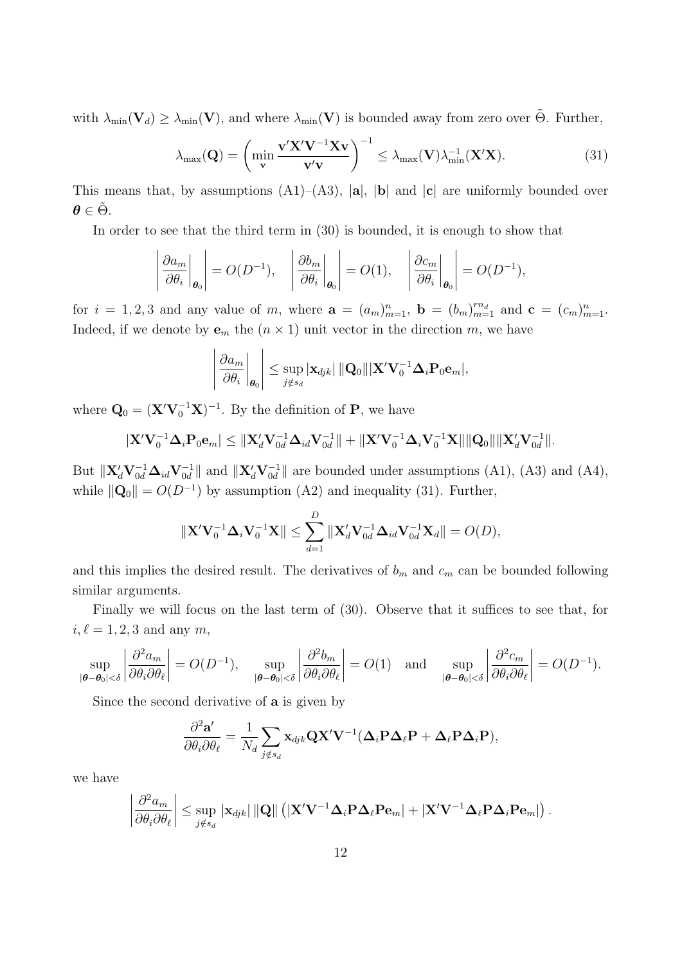with  $\lambda_{\min}(\mathbf{V}_d) \geq \lambda_{\min}(\mathbf{V})$ , and where  $\lambda_{\min}(\mathbf{V})$  is bounded away from zero over  $\tilde{\Theta}$ . Further,

$$
\lambda_{\max}(\mathbf{Q}) = \left(\min_{\mathbf{v}} \frac{\mathbf{v}' \mathbf{X}' \mathbf{V}^{-1} \mathbf{X} \mathbf{v}}{\mathbf{v}' \mathbf{v}}\right)^{-1} \leq \lambda_{\max}(\mathbf{V}) \lambda_{\min}^{-1}(\mathbf{X}' \mathbf{X}).
$$
\n(31)

This means that, by assumptions  $(A1)$ – $(A3)$ ,  $|a|$ ,  $|b|$  and  $|c|$  are uniformly bounded over  $\theta \in \tilde{\Theta}$ .

In order to see that the third term in (30) is bounded, it is enough to show that

$$
\left|\frac{\partial a_m}{\partial \theta_i}\bigg|_{\theta_0}\right| = O(D^{-1}), \quad \left|\frac{\partial b_m}{\partial \theta_i}\bigg|_{\theta_0}\right| = O(1), \quad \left|\frac{\partial c_m}{\partial \theta_i}\bigg|_{\theta_0}\right| = O(D^{-1}),
$$

for  $i = 1, 2, 3$  and any value of m, where  $\mathbf{a} = (a_m)_{m=1}^n$ ,  $\mathbf{b} = (b_m)_{m=1}^{m_d}$  and  $\mathbf{c} = (c_m)_{m=1}^n$ . Indeed, if we denote by  $\mathbf{e}_m$  the  $(n \times 1)$  unit vector in the direction m, we have

$$
\left|\left.\frac{\partial a_m}{\partial \theta_i}\right|_{\boldsymbol{\theta}_0}\right| \leq \sup_{j \notin s_d} |\mathbf{x}_{djk}| \left\|\mathbf{Q}_0\right\| |\mathbf{X}' \mathbf{V}_0^{-1} \mathbf{\Delta}_i \mathbf{P}_0 \mathbf{e}_m|,
$$

where  $\mathbf{Q}_0 = (\mathbf{X}' \mathbf{V}_0^{-1} \mathbf{X})^{-1}$ . By the definition of **P**, we have

$$
|\mathbf{X}'\mathbf{V}_0^{-1}\mathbf{\Delta}_i\mathbf{P}_0\mathbf{e}_m| \leq \|\mathbf{X}_d'\mathbf{V}_{0d}^{-1}\mathbf{\Delta}_{id}\mathbf{V}_{0d}^{-1}\| + \|\mathbf{X}'\mathbf{V}_0^{-1}\mathbf{\Delta}_i\mathbf{V}_0^{-1}\mathbf{X}\|\|\mathbf{Q}_0\|\|\mathbf{X}_d'\mathbf{V}_{0d}^{-1}\|.
$$

But  $\|\mathbf{X}_d'\mathbf{V}_{0d}^{-1}\mathbf{\Delta}_{id}\mathbf{V}_{0d}^{-1}\|$  and  $\|\mathbf{X}_d'\mathbf{V}_{0d}^{-1}\|$  are bounded under assumptions (A1), (A3) and (A4), while  $\|\mathbf{Q}_0\| = O(D^{-1})$  by assumption (A2) and inequality (31). Further,

$$
\|\mathbf{X}'\mathbf{V}_0^{-1}\mathbf{\Delta}_i\mathbf{V}_0^{-1}\mathbf{X}\| \le \sum_{d=1}^D \|\mathbf{X}_d'\mathbf{V}_{0d}^{-1}\mathbf{\Delta}_{id}\mathbf{V}_{0d}^{-1}\mathbf{X}_d\| = O(D),
$$

and this implies the desired result. The derivatives of  $b_m$  and  $c_m$  can be bounded following similar arguments.

Finally we will focus on the last term of (30). Observe that it suffices to see that, for  $i, \ell = 1, 2, 3$  and any m,

$$
\sup_{|\boldsymbol{\theta}-\boldsymbol{\theta}_0|<\delta} \left| \frac{\partial^2 a_m}{\partial \theta_i \partial \theta_\ell} \right| = O(D^{-1}), \quad \sup_{|\boldsymbol{\theta}-\boldsymbol{\theta}_0|<\delta} \left| \frac{\partial^2 b_m}{\partial \theta_i \partial \theta_\ell} \right| = O(1) \quad \text{and} \quad \sup_{|\boldsymbol{\theta}-\boldsymbol{\theta}_0|<\delta} \left| \frac{\partial^2 c_m}{\partial \theta_i \partial \theta_\ell} \right| = O(D^{-1}).
$$

Since the second derivative of a is given by

$$
\frac{\partial^2 \mathbf{a}'}{\partial \theta_i \partial \theta_\ell} = \frac{1}{N_d} \sum_{j \notin s_d} \mathbf{x}_{djk} \mathbf{Q} \mathbf{X}' \mathbf{V}^{-1} (\mathbf{\Delta}_i \mathbf{P} \mathbf{\Delta}_\ell \mathbf{P} + \mathbf{\Delta}_\ell \mathbf{P} \mathbf{\Delta}_i \mathbf{P}),
$$

we have

$$
\left|\frac{\partial^2 a_m}{\partial \theta_i \partial \theta_\ell}\right| \leq \sup_{j \notin s_d} |\mathbf{x}_{djk}| \left\| \mathbf{Q} \right\| \left( |\mathbf{X}' \mathbf{V}^{-1} \mathbf{\Delta}_i \mathbf{P} \mathbf{\Delta}_\ell \mathbf{P} \mathbf{e}_m| + |\mathbf{X}' \mathbf{V}^{-1} \mathbf{\Delta}_\ell \mathbf{P} \mathbf{\Delta}_i \mathbf{P} \mathbf{e}_m| \right).
$$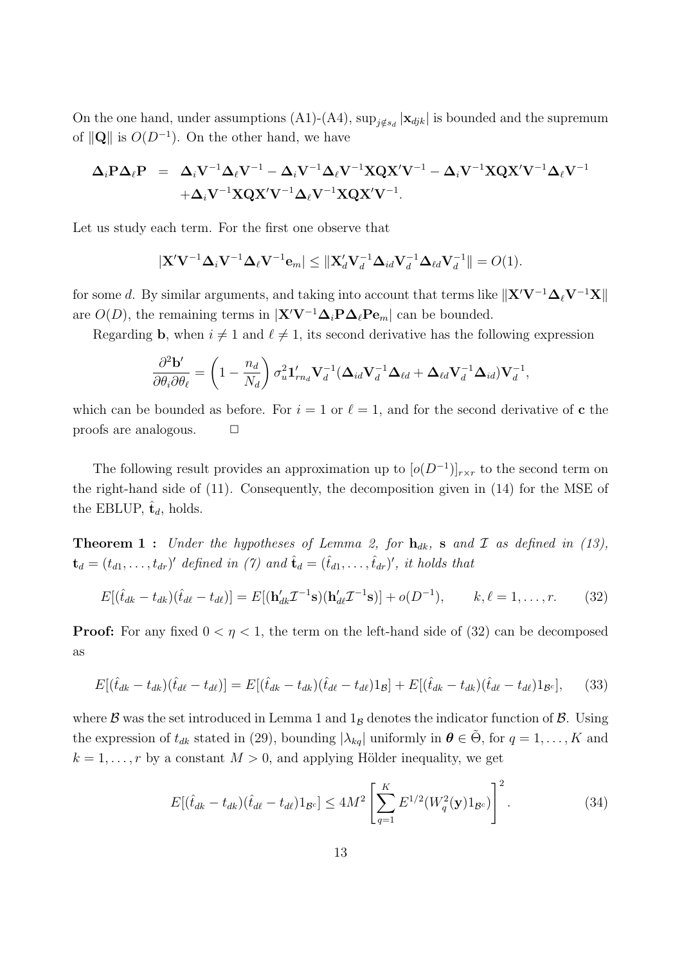On the one hand, under assumptions (A1)-(A4),  $\sup_{j \notin s_d} |\mathbf{x}_{djk}|$  is bounded and the supremum of  $\|\mathbf{Q}\|$  is  $O(D^{-1})$ . On the other hand, we have

$$
\begin{array}{lll} \Delta_i \mathrm{P} \Delta_\ell \mathrm{P} & = & \Delta_i \mathrm{V}^{-1} \Delta_\ell \mathrm{V}^{-1} - \Delta_i \mathrm{V}^{-1} \Delta_\ell \mathrm{V}^{-1} \mathrm{X} \mathrm{Q} \mathrm{X}' \mathrm{V}^{-1} - \Delta_i \mathrm{V}^{-1} \mathrm{X} \mathrm{Q} \mathrm{X}' \mathrm{V}^{-1} \Delta_\ell \mathrm{V}^{-1} \\ & & + \Delta_i \mathrm{V}^{-1} \mathrm{X} \mathrm{Q} \mathrm{X}' \mathrm{V}^{-1} \Delta_\ell \mathrm{V}^{-1} \mathrm{X} \mathrm{Q} \mathrm{X}' \mathrm{V}^{-1}. \end{array}
$$

Let us study each term. For the first one observe that

$$
|\mathbf{X}'\mathbf{V}^{-1}\mathbf{\Delta}_i\mathbf{V}^{-1}\mathbf{\Delta}_\ell\mathbf{V}^{-1}\mathbf{e}_m| \leq ||\mathbf{X}_d'\mathbf{V}_d^{-1}\mathbf{\Delta}_{id}\mathbf{V}_d^{-1}\mathbf{\Delta}_{\ell d}\mathbf{V}_d^{-1}|| = O(1).
$$

for some d. By similar arguments, and taking into account that terms like  $||\mathbf{X}'\mathbf{V}^{-1}\mathbf{\Delta}_\ell\mathbf{V}^{-1}\mathbf{X}||$ are  $O(D)$ , the remaining terms in  $|\mathbf{X}'\mathbf{V}^{-1}\mathbf{\Delta}_i\mathbf{P}\mathbf{\Delta}_\ell\mathbf{P}\mathbf{e}_m|$  can be bounded.

Regarding **b**, when  $i \neq 1$  and  $\ell \neq 1$ , its second derivative has the following expression

$$
\frac{\partial^2 \mathbf{b}'}{\partial \theta_i \partial \theta_\ell} = \left(1 - \frac{n_d}{N_d}\right) \sigma_u^2 \mathbf{1}_{rn_d}' \mathbf{V}_d^{-1} (\mathbf{\Delta}_{id} \mathbf{V}_d^{-1} \mathbf{\Delta}_{\ell d} + \mathbf{\Delta}_{\ell d} \mathbf{V}_d^{-1} \mathbf{\Delta}_{id}) \mathbf{V}_d^{-1},
$$

which can be bounded as before. For  $i = 1$  or  $\ell = 1$ , and for the second derivative of c the proofs are analogous.  $\Box$ 

The following result provides an approximation up to  $[o(D^{-1})]_{r \times r}$  to the second term on the right-hand side of (11). Consequently, the decomposition given in (14) for the MSE of the EBLUP,  $\hat{\mathbf{t}}_d$ , holds.

**Theorem 1** : Under the hypotheses of Lemma 2, for  $h_{dk}$ , s and I as defined in (13),  $\mathbf{t}_d = (t_{d1}, \ldots, t_{dr})'$  defined in (7) and  $\hat{\mathbf{t}}_d = (\hat{t}_{d1}, \ldots, \hat{t}_{dr})'$ , it holds that

$$
E[(\hat{t}_{dk} - t_{dk})(\hat{t}_{d\ell} - t_{d\ell})] = E[(\mathbf{h}'_{dk}\mathcal{I}^{-1}\mathbf{s})(\mathbf{h}'_{d\ell}\mathcal{I}^{-1}\mathbf{s})] + o(D^{-1}), \qquad k, \ell = 1, \dots, r. \tag{32}
$$

**Proof:** For any fixed  $0 < \eta < 1$ , the term on the left-hand side of (32) can be decomposed as

$$
E[(\hat{t}_{dk} - t_{dk})(\hat{t}_{d\ell} - t_{d\ell})] = E[(\hat{t}_{dk} - t_{dk})(\hat{t}_{d\ell} - t_{d\ell})1_{\mathcal{B}}] + E[(\hat{t}_{dk} - t_{dk})(\hat{t}_{d\ell} - t_{d\ell})1_{\mathcal{B}^c}], \quad (33)
$$

where  $\beta$  was the set introduced in Lemma 1 and  $1_B$  denotes the indicator function of  $\beta$ . Using the expression of  $t_{dk}$  stated in (29), bounding  $|\lambda_{kq}|$  uniformly in  $\theta \in \tilde{\Theta}$ , for  $q = 1, ..., K$  and  $k = 1, \ldots, r$  by a constant  $M > 0$ , and applying Hölder inequality, we get

$$
E[(\hat{t}_{dk} - t_{dk})(\hat{t}_{d\ell} - t_{d\ell})1_{\mathcal{B}^c}] \le 4M^2 \left[ \sum_{q=1}^K E^{1/2}(W_q^2(\mathbf{y})1_{\mathcal{B}^c}) \right]^2.
$$
 (34)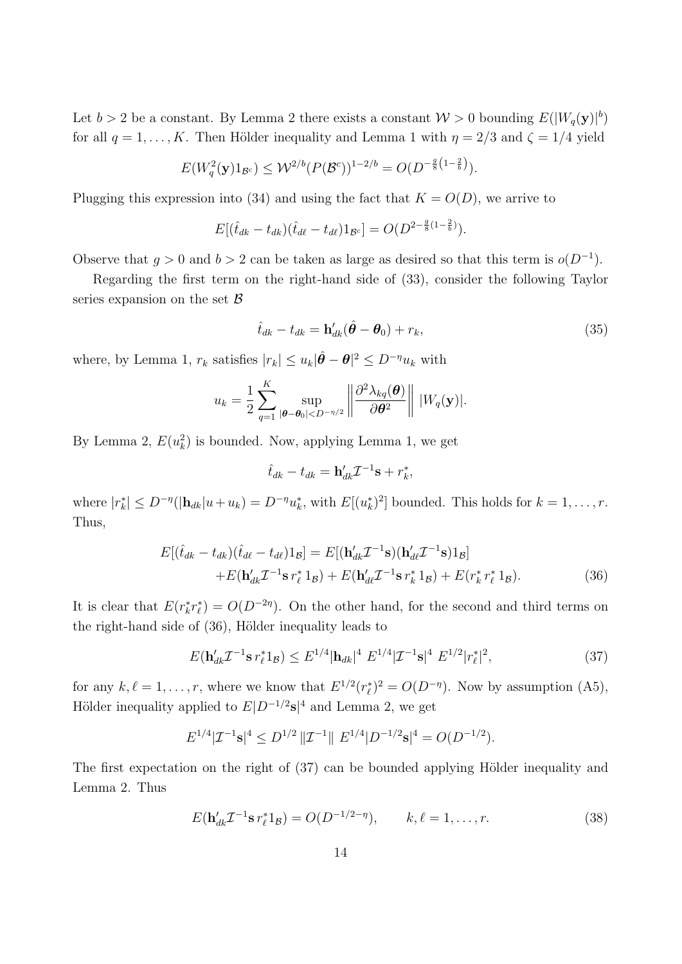Let  $b > 2$  be a constant. By Lemma 2 there exists a constant  $\mathcal{W} > 0$  bounding  $E(|W_q(\mathbf{y})|^b)$ for all  $q = 1, \ldots, K$ . Then Hölder inequality and Lemma 1 with  $\eta = 2/3$  and  $\zeta = 1/4$  yield

$$
E(W_q^2(\mathbf{y})1_{\mathcal{B}^c}) \leq \mathcal{W}^{2/b}(P(\mathcal{B}^c))^{1-2/b} = O(D^{-\frac{g}{8}(1-\frac{2}{b})}).
$$

Plugging this expression into (34) and using the fact that  $K = O(D)$ , we arrive to

$$
E[(\hat{t}_{dk} - t_{dk})(\hat{t}_{d\ell} - t_{d\ell})1_{\mathcal{B}^c}] = O(D^{2-\frac{g}{8}(1-\frac{2}{b})}).
$$

Observe that  $g > 0$  and  $b > 2$  can be taken as large as desired so that this term is  $o(D^{-1})$ .

Regarding the first term on the right-hand side of (33), consider the following Taylor series expansion on the set  $\beta$ 

$$
\hat{t}_{dk} - t_{dk} = \mathbf{h}'_{dk}(\hat{\boldsymbol{\theta}} - \boldsymbol{\theta}_0) + r_k,
$$
\n(35)

where, by Lemma 1,  $r_k$  satisfies  $|r_k| \leq u_k |\hat{\theta} - \theta|^2 \leq D^{-\eta} u_k$  with

$$
u_k = \frac{1}{2} \sum_{q=1}^K \sup_{|\boldsymbol{\theta}-\boldsymbol{\theta}_0| < D^{-\eta/2}} \left\| \frac{\partial^2 \lambda_{kq}(\boldsymbol{\theta})}{\partial \boldsymbol{\theta}^2} \right\| |W_q(\mathbf{y})|.
$$

By Lemma 2,  $E(u_k^2)$  is bounded. Now, applying Lemma 1, we get

$$
\hat{t}_{dk} - t_{dk} = \mathbf{h}'_{dk} \mathcal{I}^{-1} \mathbf{s} + r_k^*,
$$

where  $|r_k^*| \leq D^{-\eta}(|\mathbf{h}_{dk}|u+u_k) = D^{-\eta}u_k^*$ , with  $E[(u_k^*)^2]$  bounded. This holds for  $k = 1, \ldots, r$ . Thus,

$$
E[(\hat{t}_{dk} - t_{dk})(\hat{t}_{d\ell} - t_{d\ell})1_B] = E[(\mathbf{h}'_{dk}\mathcal{I}^{-1}\mathbf{s})(\mathbf{h}'_{d\ell}\mathcal{I}^{-1}\mathbf{s})1_B] + E(\mathbf{h}'_{dk}\mathcal{I}^{-1}\mathbf{s}r_{\ell}^*1_B) + E(\mathbf{h}'_{d\ell}\mathcal{I}^{-1}\mathbf{s}r_{k}^*1_B) + E(r_{k}^*r_{\ell}^*1_B).
$$
(36)

It is clear that  $E(r_k^*r_\ell^*) = O(D^{-2\eta})$ . On the other hand, for the second and third terms on the right-hand side of  $(36)$ , Hölder inequality leads to

$$
E(\mathbf{h}'_{dk}\mathcal{I}^{-1}\mathbf{s}\,r^*_{\ell}\mathbf{1}_{\mathcal{B}}) \leq E^{1/4}|\mathbf{h}_{dk}|^4\ E^{1/4}|\mathcal{I}^{-1}\mathbf{s}|^4\ E^{1/2}|r^*_{\ell}|^2,\tag{37}
$$

for any  $k, \ell = 1, \ldots, r$ , where we know that  $E^{1/2}(r_\ell^*)^2 = O(D^{-\eta})$ . Now by assumption (A5), Hölder inequality applied to  $E|D^{-1/2}s|^4$  and Lemma 2, we get

$$
E^{1/4}|\mathcal{I}^{-1}\mathbf{s}|^4 \le D^{1/2} \, \|\mathcal{I}^{-1}\| \, E^{1/4} |D^{-1/2}\mathbf{s}|^4 = O(D^{-1/2}).
$$

The first expectation on the right of  $(37)$  can be bounded applying Hölder inequality and Lemma 2. Thus

$$
E(\mathbf{h}_{dk}' \mathcal{I}^{-1} \mathbf{s} r_{\ell}^* 1_B) = O(D^{-1/2 - \eta}), \qquad k, \ell = 1, \dots, r.
$$
 (38)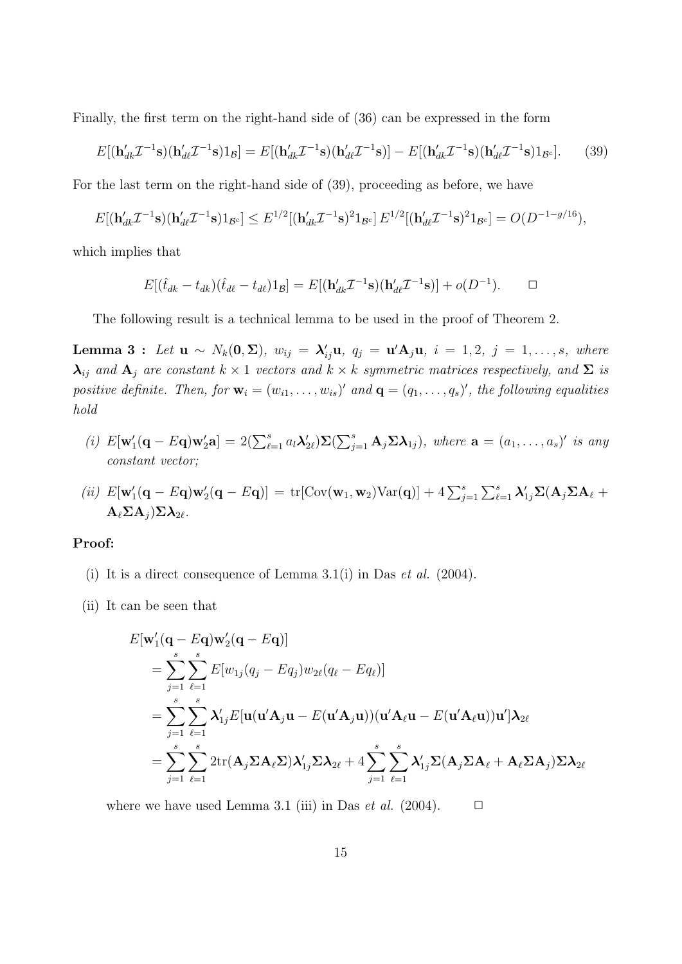Finally, the first term on the right-hand side of (36) can be expressed in the form

$$
E[(\mathbf{h}_{dk}'\mathcal{I}^{-1}\mathbf{s})(\mathbf{h}_{dk}'\mathcal{I}^{-1}\mathbf{s})1_{\mathcal{B}}] = E[(\mathbf{h}_{dk}'\mathcal{I}^{-1}\mathbf{s})(\mathbf{h}_{dk}'\mathcal{I}^{-1}\mathbf{s})] - E[(\mathbf{h}_{dk}'\mathcal{I}^{-1}\mathbf{s})(\mathbf{h}_{dk}'\mathcal{I}^{-1}\mathbf{s})1_{\mathcal{B}^c}].
$$
 (39)

For the last term on the right-hand side of (39), proceeding as before, we have

$$
E[(\mathbf{h}_{dk}'\mathcal{I}^{-1}\mathbf{s})(\mathbf{h}_{dk}'\mathcal{I}^{-1}\mathbf{s})1_{\mathcal{B}^c}] \leq E^{1/2}[(\mathbf{h}_{dk}'\mathcal{I}^{-1}\mathbf{s})^21_{\mathcal{B}^c}] E^{1/2}[(\mathbf{h}_{dk}'\mathcal{I}^{-1}\mathbf{s})^21_{\mathcal{B}^c}] = O(D^{-1-g/16}),
$$

which implies that

$$
E[(\hat{t}_{dk} - t_{dk})(\hat{t}_{d\ell} - t_{d\ell})1_{\mathcal{B}}] = E[(\mathbf{h}'_{dk}\mathcal{I}^{-1}\mathbf{s})(\mathbf{h}'_{d\ell}\mathcal{I}^{-1}\mathbf{s})] + o(D^{-1}). \qquad \Box
$$

The following result is a technical lemma to be used in the proof of Theorem 2.

Lemma 3: Let  $\mathbf{u} \sim N_k(\mathbf{0}, \Sigma)$ ,  $w_{ij} = \lambda'_{ij} \mathbf{u}$ ,  $q_j = \mathbf{u}' \mathbf{A}_j \mathbf{u}$ ,  $i = 1, 2, j = 1, \ldots, s$ , where  $\lambda_{ij}$  and  $A_j$  are constant  $k \times 1$  vectors and  $k \times k$  symmetric matrices respectively, and  $\Sigma$  is positive definite. Then, for  $\mathbf{w}_i = (w_{i1}, \dots, w_{is})'$  and  $\mathbf{q} = (q_1, \dots, q_s)'$ , the following equalities hold

- (i)  $E[\mathbf{w}'_1(\mathbf{q}-E\mathbf{q})\mathbf{w}'_2\mathbf{a}] = 2(\sum_{\ell=1}^s a_\ell \lambda'_{2\ell})\mathbf{\Sigma}(\sum_{j=1}^s \mathbf{A}_j \mathbf{\Sigma} \lambda_{1j}),$  where  $\mathbf{a} = (a_1, \ldots, a_s)'$  is any constant vector;
- (ii)  $E[\mathbf{w}'_1(\mathbf{q} E\mathbf{q})\mathbf{w}'_2(\mathbf{q} E\mathbf{q})] = \text{tr}[\text{Cov}(\mathbf{w}_1, \mathbf{w}_2) \text{Var}(\mathbf{q})] + 4 \sum_{j=1}^s \sum_{\ell=1}^s \lambda'_{1j} \Sigma(\mathbf{A}_j \Sigma \mathbf{A}_\ell +$  $A_{\ell} \Sigma A_i \Sigma \lambda_{2\ell}$ .

#### Proof:

- (i) It is a direct consequence of Lemma 3.1(i) in Das *et al.*  $(2004)$ .
- (ii) It can be seen that

$$
E[\mathbf{w}'_1(\mathbf{q} - E\mathbf{q})\mathbf{w}'_2(\mathbf{q} - E\mathbf{q})]
$$
  
\n
$$
= \sum_{j=1}^s \sum_{\ell=1}^s E[w_{1j}(q_j - Eq_j)w_{2\ell}(q_\ell - Eq_\ell)]
$$
  
\n
$$
= \sum_{j=1}^s \sum_{\ell=1}^s \lambda'_{1j} E[\mathbf{u}(\mathbf{u}'\mathbf{A}_j\mathbf{u} - E(\mathbf{u}'\mathbf{A}_j\mathbf{u}))(\mathbf{u}'\mathbf{A}_\ell\mathbf{u} - E(\mathbf{u}'\mathbf{A}_\ell\mathbf{u}))\mathbf{u}']\mathbf{\lambda}_{2\ell}
$$
  
\n
$$
= \sum_{j=1}^s \sum_{\ell=1}^s 2\text{tr}(\mathbf{A}_j \Sigma \mathbf{A}_\ell \Sigma) \lambda'_{1j} \Sigma \mathbf{\lambda}_{2\ell} + 4 \sum_{j=1}^s \sum_{\ell=1}^s \lambda'_{1j} \Sigma (\mathbf{A}_j \Sigma \mathbf{A}_\ell + \mathbf{A}_\ell \Sigma \mathbf{A}_j) \Sigma \mathbf{\lambda}_{2\ell}
$$

where we have used Lemma 3.1 (iii) in Das *et al.* (2004).  $\Box$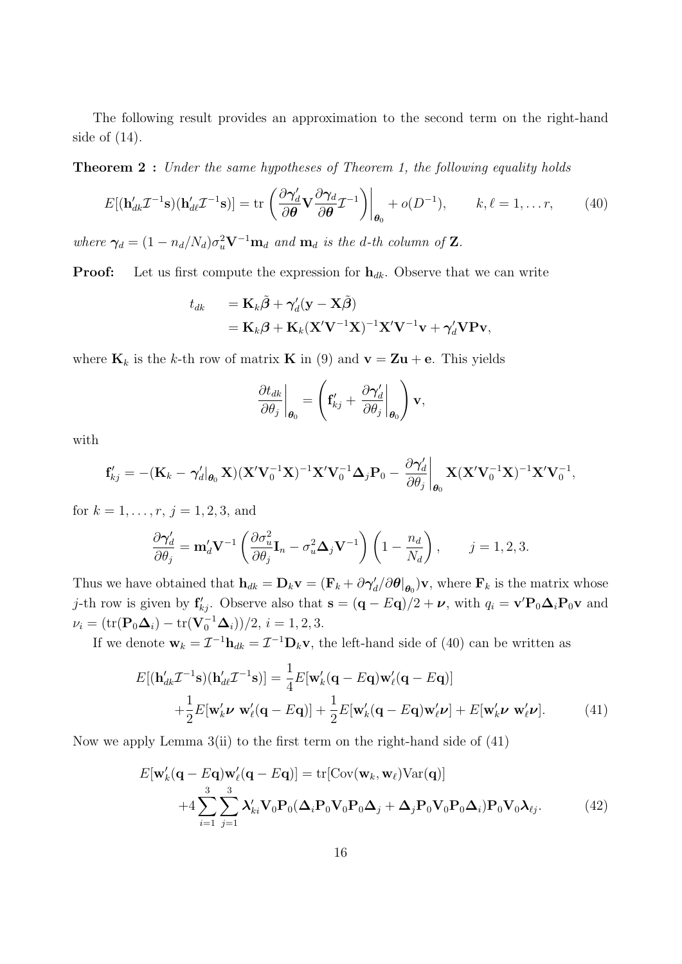The following result provides an approximation to the second term on the right-hand side of (14).

**Theorem 2** : Under the same hypotheses of Theorem 1, the following equality holds

$$
E[(\mathbf{h}_{dk}'\mathcal{I}^{-1}\mathbf{s})(\mathbf{h}_{dk}'\mathcal{I}^{-1}\mathbf{s})] = \text{tr}\left(\frac{\partial \gamma_d'}{\partial \theta} \mathbf{V} \frac{\partial \gamma_d}{\partial \theta} \mathcal{I}^{-1}\right)\bigg|_{\theta_0} + o(D^{-1}), \qquad k, \ell = 1, \dots r,
$$
 (40)

where  $\gamma_d = (1 - n_d/N_d)\sigma_u^2 \mathbf{V}^{-1}\mathbf{m}_d$  and  $\mathbf{m}_d$  is the d-th column of **Z**.

**Proof:** Let us first compute the expression for  $h_{dk}$ . Observe that we can write

$$
t_{dk} = \mathbf{K}_k \tilde{\boldsymbol{\beta}} + \gamma'_d (\mathbf{y} - \mathbf{X} \tilde{\boldsymbol{\beta}})
$$
  
=  $\mathbf{K}_k \boldsymbol{\beta} + \mathbf{K}_k (\mathbf{X}' \mathbf{V}^{-1} \mathbf{X})^{-1} \mathbf{X}' \mathbf{V}^{-1} \mathbf{v} + \gamma'_d \mathbf{V} \mathbf{P} \mathbf{v},$ 

where  $\mathbf{K}_k$  is the k-th row of matrix **K** in (9) and  $\mathbf{v} = \mathbf{Z}\mathbf{u} + \mathbf{e}$ . This yields

$$
\left.\frac{\partial t_{dk}}{\partial \theta_j}\right|_{\boldsymbol{\theta}_0} = \left(\mathbf{f}_{kj}^{\prime} + \left.\frac{\partial \boldsymbol{\gamma}_d^{\prime}}{\partial \theta_j}\right|_{\boldsymbol{\theta}_0}\right)\mathbf{v},
$$

with

$$
\mathbf{f}_{kj}' = -(\mathbf{K}_k - \boldsymbol{\gamma}_d' |_{\boldsymbol{\theta}_0} \mathbf{X}) (\mathbf{X}' \mathbf{V}_0^{-1} \mathbf{X})^{-1} \mathbf{X}' \mathbf{V}_0^{-1} \boldsymbol{\Delta}_j \mathbf{P}_0 - \frac{\partial \boldsymbol{\gamma}_d'}{\partial \theta_j} \bigg|_{\boldsymbol{\theta}_0} \mathbf{X} (\mathbf{X}' \mathbf{V}_0^{-1} \mathbf{X})^{-1} \mathbf{X}' \mathbf{V}_0^{-1},
$$

for  $k = 1, \ldots, r, j = 1, 2, 3,$  and

$$
\frac{\partial \boldsymbol{\gamma}_d'}{\partial \theta_j} = \mathbf{m}_d' \mathbf{V}^{-1} \left( \frac{\partial \sigma_u^2}{\partial \theta_j} \mathbf{I}_n - \sigma_u^2 \boldsymbol{\Delta}_j \mathbf{V}^{-1} \right) \left( 1 - \frac{n_d}{N_d} \right), \qquad j = 1, 2, 3.
$$

Thus we have obtained that  $h_{dk} = D_k \mathbf{v} = (\mathbf{F}_k + \partial \gamma'_d / \partial \theta |_{\theta_0}) \mathbf{v}$ , where  $\mathbf{F}_k$  is the matrix whose j-th row is given by  $f'_{kj}$ . Observe also that  $s = (q - Eq)/2 + \nu$ , with  $q_i = v'P_0\Delta_iP_0v$  and  $\nu_i = (\text{tr}(\mathbf{P}_0 \boldsymbol{\Delta}_i) - \text{tr}(\mathbf{V}_0^{-1} \boldsymbol{\Delta}_i))/2, i = 1, 2, 3.$ 

If we denote  $\mathbf{w}_k = \mathcal{I}^{-1} \mathbf{h}_{dk} = \mathcal{I}^{-1} \mathbf{D}_k \mathbf{v}$ , the left-hand side of (40) can be written as

$$
E[(\mathbf{h}_{dk}'\mathcal{I}^{-1}\mathbf{s})(\mathbf{h}_{dk}'\mathcal{I}^{-1}\mathbf{s})] = \frac{1}{4}E[\mathbf{w}_k'(\mathbf{q} - E\mathbf{q})\mathbf{w}_\ell'(\mathbf{q} - E\mathbf{q})]
$$
  
+ 
$$
\frac{1}{2}E[\mathbf{w}_k'\mathbf{v}\ \mathbf{w}_\ell'(\mathbf{q} - E\mathbf{q})] + \frac{1}{2}E[\mathbf{w}_k'(\mathbf{q} - E\mathbf{q})\mathbf{w}_\ell'\mathbf{v}] + E[\mathbf{w}_k'\mathbf{v}\ \mathbf{w}_\ell'\mathbf{v}].
$$
 (41)

Now we apply Lemma  $3(i)$  to the first term on the right-hand side of  $(41)$ 

$$
E[\mathbf{w}'_k(\mathbf{q} - E\mathbf{q})\mathbf{w}'_\ell(\mathbf{q} - E\mathbf{q})] = \text{tr}[\text{Cov}(\mathbf{w}_k, \mathbf{w}_\ell) \text{Var}(\mathbf{q})]
$$
  
+4\sum\_{i=1}^3 \sum\_{j=1}^3 \lambda'\_{ki} \mathbf{V}\_0 \mathbf{P}\_0(\boldsymbol{\Delta}\_i \mathbf{P}\_0 \mathbf{V}\_0 \mathbf{P}\_0 \boldsymbol{\Delta}\_j + \boldsymbol{\Delta}\_j \mathbf{P}\_0 \mathbf{V}\_0 \mathbf{P}\_0 \boldsymbol{\Delta}\_i) \mathbf{P}\_0 \mathbf{V}\_0 \boldsymbol{\lambda}\_{\ell j}. (42)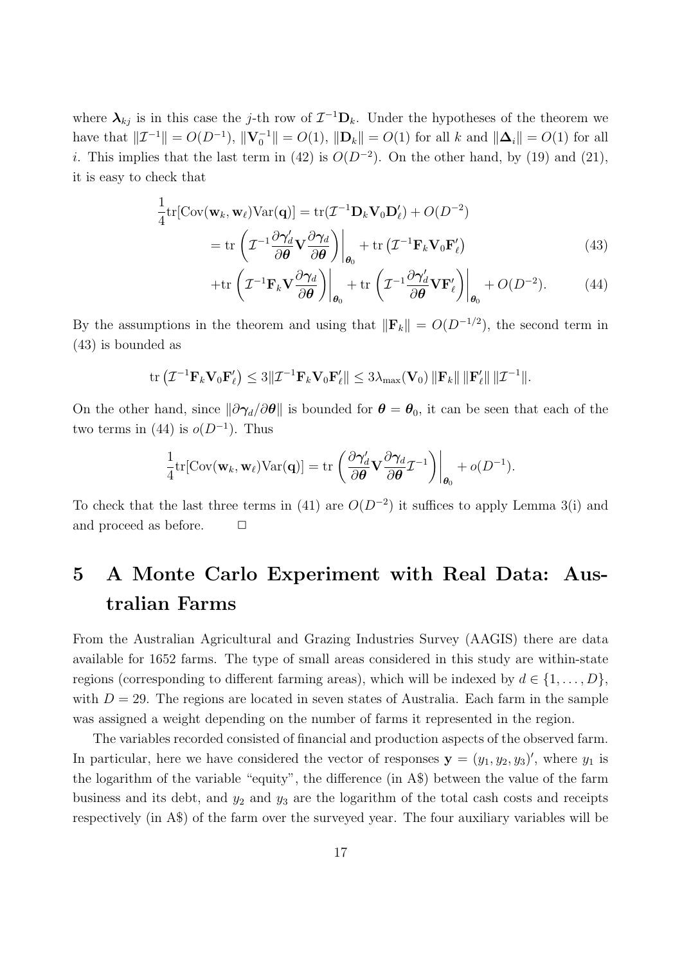where  $\lambda_{kj}$  is in this case the j-th row of  $\mathcal{I}^{-1}D_k$ . Under the hypotheses of the theorem we have that  $||\mathcal{I}^{-1}|| = O(D^{-1}), ||\mathbf{V}_0^{-1}|| = O(1), ||\mathbf{D}_k|| = O(1)$  for all k and  $||\mathbf{\Delta}_i|| = O(1)$  for all i. This implies that the last term in (42) is  $O(D^{-2})$ . On the other hand, by (19) and (21), it is easy to check that

$$
\frac{1}{4} \text{tr}[\text{Cov}(\mathbf{w}_k, \mathbf{w}_\ell) \text{Var}(\mathbf{q})] = \text{tr}(\mathcal{I}^{-1} \mathbf{D}_k \mathbf{V}_0 \mathbf{D}_\ell') + O(D^{-2})
$$
\n
$$
= \text{tr}\left(\mathcal{I}^{-1} \frac{\partial \gamma_d'}{\partial \theta} \mathbf{V} \frac{\partial \gamma_d}{\partial \theta}\right)\Big|_{\theta_0} + \text{tr}\left(\mathcal{I}^{-1} \mathbf{F}_k \mathbf{V}_0 \mathbf{F}_\ell'\right) \tag{43}
$$

$$
+\mathrm{tr}\left(\mathcal{I}^{-1}\mathbf{F}_{k}\mathbf{V}\frac{\partial\boldsymbol{\gamma}_{d}}{\partial\boldsymbol{\theta}}\right)\bigg|_{\boldsymbol{\theta}_{0}} + \mathrm{tr}\left(\mathcal{I}^{-1}\frac{\partial\boldsymbol{\gamma}_{d}^{\prime}}{\partial\boldsymbol{\theta}}\mathbf{V}\mathbf{F}_{\ell}^{\prime}\right)\bigg|_{\boldsymbol{\theta}_{0}} + O(D^{-2}).\tag{44}
$$

By the assumptions in the theorem and using that  $\|\mathbf{F}_k\| = O(D^{-1/2})$ , the second term in (43) is bounded as

$$
\operatorname{tr}\left(\mathcal{I}^{-1}\mathbf{F}_k\mathbf{V}_0\mathbf{F}_{\ell}'\right)\leq 3\|\mathcal{I}^{-1}\mathbf{F}_k\mathbf{V}_0\mathbf{F}_{\ell}'\|\leq 3\lambda_{\max}(\mathbf{V}_0)\|\mathbf{F}_k\|\|\mathbf{F}_{\ell}'\|\|\mathcal{I}^{-1}\|.
$$

On the other hand, since  $\|\partial \gamma_d/\partial \theta\|$  is bounded for  $\theta = \theta_0$ , it can be seen that each of the two terms in  $(44)$  is  $o(D^{-1})$ . Thus

$$
\frac{1}{4} \text{tr}[\text{Cov}(\mathbf{w}_k, \mathbf{w}_\ell) \text{Var}(\mathbf{q})] = \text{tr}\left.\left(\frac{\partial \boldsymbol{\gamma}_d'}{\partial \boldsymbol{\theta}} \mathbf{V} \frac{\partial \boldsymbol{\gamma}_d}{\partial \boldsymbol{\theta}} \mathcal{I}^{-1}\right)\right|_{\boldsymbol{\theta}_0} + o(D^{-1}).
$$

To check that the last three terms in (41) are  $O(D^{-2})$  it suffices to apply Lemma 3(i) and and proceed as before.  $\Box$ 

## 5 A Monte Carlo Experiment with Real Data: Australian Farms

From the Australian Agricultural and Grazing Industries Survey (AAGIS) there are data available for 1652 farms. The type of small areas considered in this study are within-state regions (corresponding to different farming areas), which will be indexed by  $d \in \{1, \ldots, D\}$ , with  $D = 29$ . The regions are located in seven states of Australia. Each farm in the sample was assigned a weight depending on the number of farms it represented in the region.

The variables recorded consisted of financial and production aspects of the observed farm. In particular, here we have considered the vector of responses  $y = (y_1, y_2, y_3)'$ , where  $y_1$  is the logarithm of the variable "equity", the difference (in A\$) between the value of the farm business and its debt, and  $y_2$  and  $y_3$  are the logarithm of the total cash costs and receipts respectively (in A\$) of the farm over the surveyed year. The four auxiliary variables will be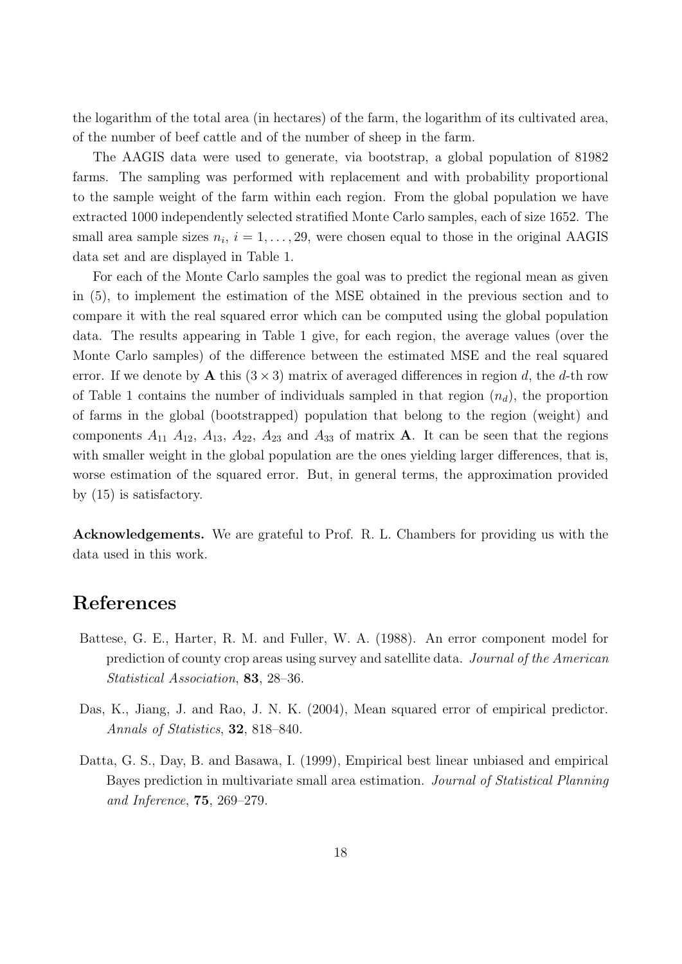the logarithm of the total area (in hectares) of the farm, the logarithm of its cultivated area, of the number of beef cattle and of the number of sheep in the farm.

The AAGIS data were used to generate, via bootstrap, a global population of 81982 farms. The sampling was performed with replacement and with probability proportional to the sample weight of the farm within each region. From the global population we have extracted 1000 independently selected stratified Monte Carlo samples, each of size 1652. The small area sample sizes  $n_i$ ,  $i = 1, \ldots, 29$ , were chosen equal to those in the original AAGIS data set and are displayed in Table 1.

For each of the Monte Carlo samples the goal was to predict the regional mean as given in (5), to implement the estimation of the MSE obtained in the previous section and to compare it with the real squared error which can be computed using the global population data. The results appearing in Table 1 give, for each region, the average values (over the Monte Carlo samples) of the difference between the estimated MSE and the real squared error. If we denote by A this  $(3 \times 3)$  matrix of averaged differences in region d, the d-th row of Table 1 contains the number of individuals sampled in that region  $(n_d)$ , the proportion of farms in the global (bootstrapped) population that belong to the region (weight) and components  $A_{11}$   $A_{12}$ ,  $A_{13}$ ,  $A_{22}$ ,  $A_{23}$  and  $A_{33}$  of matrix **A**. It can be seen that the regions with smaller weight in the global population are the ones yielding larger differences, that is, worse estimation of the squared error. But, in general terms, the approximation provided by (15) is satisfactory.

Acknowledgements. We are grateful to Prof. R. L. Chambers for providing us with the data used in this work.

### References

- Battese, G. E., Harter, R. M. and Fuller, W. A. (1988). An error component model for prediction of county crop areas using survey and satellite data. Journal of the American Statistical Association, 83, 28–36.
- Das, K., Jiang, J. and Rao, J. N. K. (2004), Mean squared error of empirical predictor. Annals of Statistics, **32**, 818–840.
- Datta, G. S., Day, B. and Basawa, I. (1999), Empirical best linear unbiased and empirical Bayes prediction in multivariate small area estimation. Journal of Statistical Planning and Inference, 75, 269–279.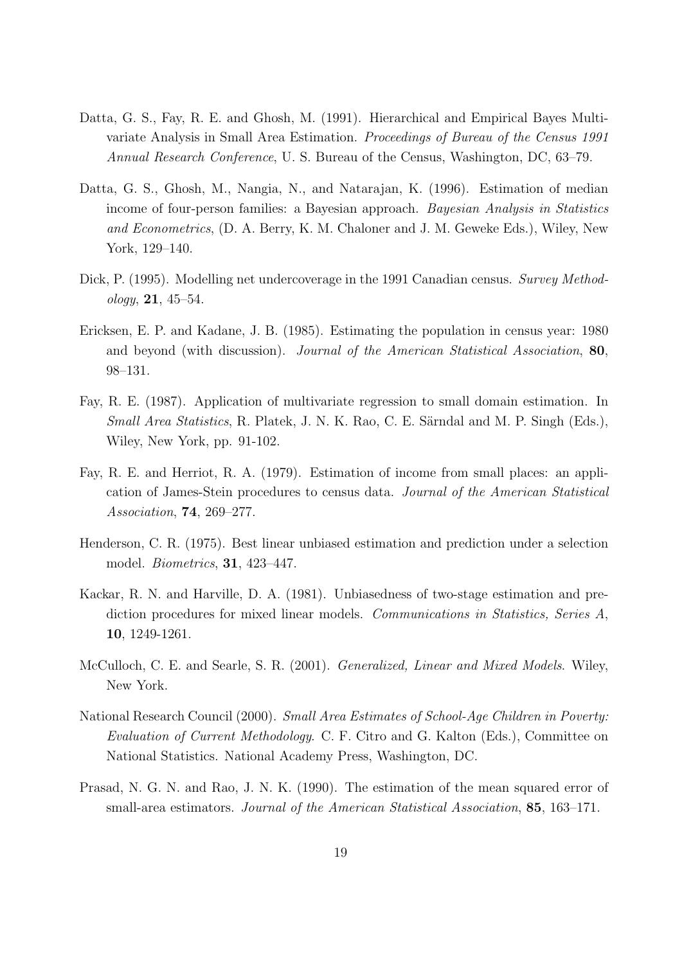- Datta, G. S., Fay, R. E. and Ghosh, M. (1991). Hierarchical and Empirical Bayes Multivariate Analysis in Small Area Estimation. Proceedings of Bureau of the Census 1991 Annual Research Conference, U. S. Bureau of the Census, Washington, DC, 63–79.
- Datta, G. S., Ghosh, M., Nangia, N., and Natarajan, K. (1996). Estimation of median income of four-person families: a Bayesian approach. Bayesian Analysis in Statistics and Econometrics, (D. A. Berry, K. M. Chaloner and J. M. Geweke Eds.), Wiley, New York, 129–140.
- Dick, P. (1995). Modelling net undercoverage in the 1991 Canadian census. Survey Method- $\omega$ logy, 21, 45–54.
- Ericksen, E. P. and Kadane, J. B. (1985). Estimating the population in census year: 1980 and beyond (with discussion). Journal of the American Statistical Association, 80, 98–131.
- Fay, R. E. (1987). Application of multivariate regression to small domain estimation. In Small Area Statistics, R. Platek, J. N. K. Rao, C. E. Särndal and M. P. Singh (Eds.), Wiley, New York, pp. 91-102.
- Fay, R. E. and Herriot, R. A. (1979). Estimation of income from small places: an application of James-Stein procedures to census data. Journal of the American Statistical Association, 74, 269–277.
- Henderson, C. R. (1975). Best linear unbiased estimation and prediction under a selection model. Biometrics, 31, 423–447.
- Kackar, R. N. and Harville, D. A. (1981). Unbiasedness of two-stage estimation and prediction procedures for mixed linear models. Communications in Statistics, Series A, 10, 1249-1261.
- McCulloch, C. E. and Searle, S. R. (2001). Generalized, Linear and Mixed Models. Wiley, New York.
- National Research Council (2000). Small Area Estimates of School-Age Children in Poverty: Evaluation of Current Methodology. C. F. Citro and G. Kalton (Eds.), Committee on National Statistics. National Academy Press, Washington, DC.
- Prasad, N. G. N. and Rao, J. N. K. (1990). The estimation of the mean squared error of small-area estimators. Journal of the American Statistical Association, 85, 163-171.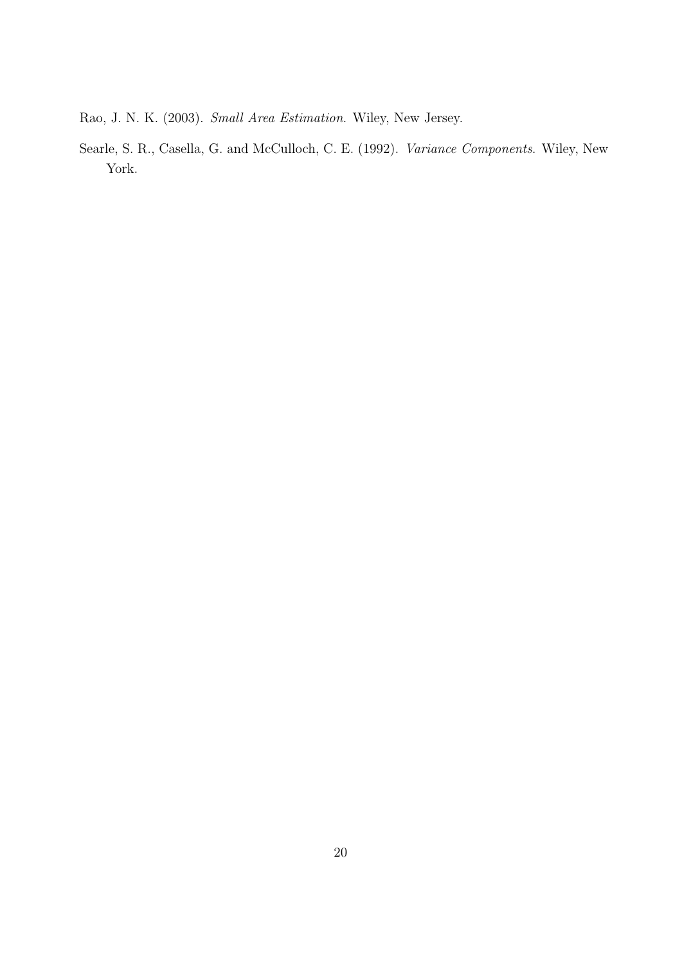Rao, J. N. K. (2003). Small Area Estimation. Wiley, New Jersey.

Searle, S. R., Casella, G. and McCulloch, C. E. (1992). Variance Components. Wiley, New York.